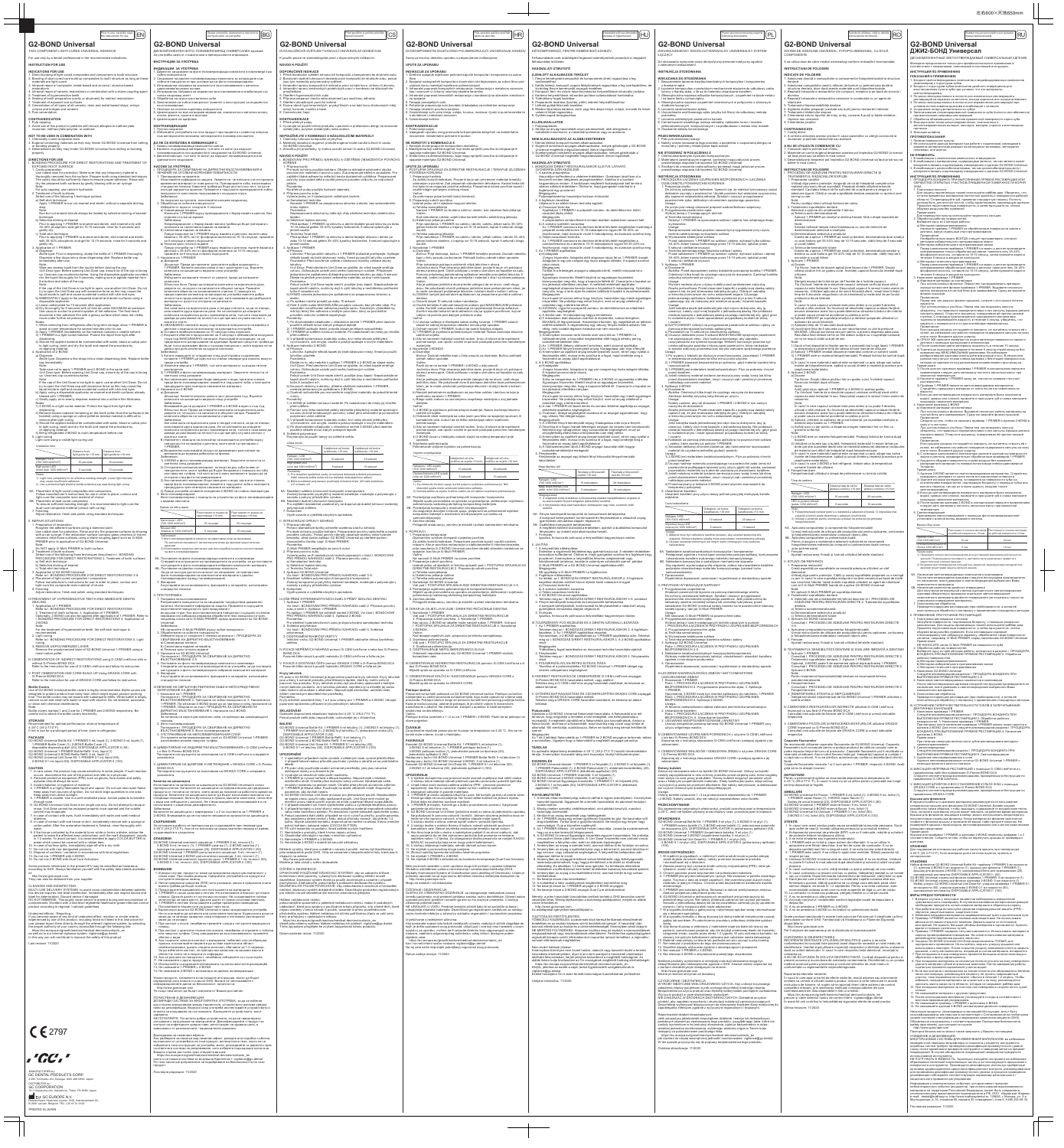左右600×天地650mm

кончика световода

20 сек

10 сек

ользуйтесь защитной экранирующей насадкой ил

илогоп*т* ЕЕВ<br>700-1200 мВт/см<sup>2</sup>)

чания:

LED высокои мощности<br>(более 1200 мВт/см<sup>2</sup>)

......<br>Проводите полное светоот адгезии. Пониженная инте

.<br>2) Во время светоотверждения г

другими средствами защиты органов зрения

омпозитного материала.<br>|анесение композитов двойного отверждения

**ІРИМЕНЕНИЕ ПРИ ПОЧИНКЕ РЕСТАВРАЦИЙ** 

с) Методика тотального протравливания<br>Нанесение G2-BOND Universal

Светоотверждение

.<br>Фрышки для флаконов

**ХРАНЕНИЕ** 

**ЛАКОВКИ** 

МЕРЫ ПРЕДОСТОРОЖНОСТИ

помощью влажного ватного тампона.

нанослиното материала.<br>Окончательная обработка<br>Проведите коррекцию реставрации (при необходим<br>Проведите коррекцию реставрации (при необходим<br>окончательную обработку и полировку с применені

10 сек

 $5$  cek

.<br>Нанесение светоотвержлаемых композитов и компомеров

нанесение светоотверждаемых композитов и компомеров<br>После светоотверждения адгезива следуйте инструкциям производи<br>по нанесению, оконтуриванию и светоотверждению выбранного Вамі<br>композитного материала.

Для получения оптимальной степени адгезии после светоотверждения<br>адгезива обязательно проведите отдельное светоотверждение<br>комическое отверждение материала деойного отверждения (не полагаясь только на<br>химическое отвержден

окогнательных оорооотка<br>Проведите коррекцию реставрации (при необходимости), а затем её<br>окончательную обработку и полировку с применением стандартных м

Подготовка реставрации к починке<br>Загрубите поверхности, подлежащие бондингу, с помощью алмазного<br>наконечника. Для защиты прилегающих тканей используйте раббер-дам.

НЕ НАНОСИ I Е СИЛА И - МИШ РКІМЕК НА ПОВЕРХНОСТИ ЗУОА.<br>2. Обработка рабочих поверхностей<br>Быберите одну из трёх методик работы, описанных в разделе І. ПРОЦЕДУРА<br>Быберите одну из трёх методик работы.<br>2. Обработка<br>рабочих по

панесение светоотверждаемых композитов и компомеров<br>После светоотверждения адгезива следуйте инструкциям производителя п

. Нанесение G2-BOND Universal<br>Следуйте рекомендациям разделов І. ПРОЦЕДУРА БОНДИНГА ПРИ<br>ВЫПОЛНЕНИИ ПРЯМОЙ РЕСТАВРАЦИИ 3-5.<br>. Нанесение светоотверждаемых композитов и компомеров

нанесению, оконтуриванию и светоотверждению выбранного Вамі

.<br>Истранение гиперчувствительности зубов и запечатывание

, УСТРАМЕНИЕ ТИТЕРЧУВСТВИТЕЛЬНОСТИ ЗУБОВ И ЗАПЕЧАТЫВАНИЕ<br>1. Нанесение праймера 1-PRIMER<br>- Следуйте реймера 1-PRIMER<br>- Следуйте рекомендациям разделов I. ПРОЦЕДУРА БОНДИНГА ПРИ<br>- ВЫПОЛНЕНИИ ПРЯМОЙ РЕСТАВРАЦИИ 2. Обработка

, у и людели и после нанесения праимера 1-PRIMER можно также нанести и<br>адгезив 2-BOND. Для этого следуйте рекомендациям раздела I. ПРОЦЕДУРА<br>БОНДИНГА ПРИ ВЫПОЛНЕНИИ ПРЯМОЙ РЕСТАВРАЦИИ 4. Нанесение<br>адгезива 2-BOND.

Примечание:<br>При лечении гиперчувствительности зубов рекомендована методика<br>самопротравливания.

светоотверждение<br>Следуйте рекомендациям раздела І. ПРОЦЕДУРА БОНДИНГА ПРИ<br>ВЫПОЛНЕНИИ ПРЯМОЙ РЕСТАВРАЦИИ 5. Светоотверждение

М.ФИКСАЦИЯ НЕПРЯМЫХ РЕСТАВРАЦИЙ с помощью G-CEM LinkForce и с 

. ФИКСАЦИЯ ШТИФТОВ И ВОССТАНОВЛЕНИЕ КУЛЬТИ ЗУБА с помощью<br>GRADIA CORE и с применением G-Premio BOND DCA

этклоги сотка и с применением о-ттепло остуб ося<br>Следуйте соответствующим рекомендациям, приведённым в Инструкции по<br>применению GRADIA CORE.

**Крышки для Флаконов Мария Материала рекомендуется использование**<br>Переделе работы и хранения материала рекомендуется использование<br>разработан таким образом, чтобы защищать содержимое от воздействия тепла<br>пела, которое в п

инко-кинко.<br>ышки для праймера 1-PRIMER и адгезива 2-BOND помечены цифрами 1 и 2<br>ответственно. Следите за тем, чтобы не перепутать крышки от праймера и

r накомки<br>- Набор флаконов G2-BOND Universal Bottle Kit: праймер 1-PRIMER 5 мл жидкости<br>- (1), адгезив 2-BOND 5 мл жидкости (1), крышка для флакона 1-PRIMER (1),<br>- крышка для флакона 2-BOND (1), одноразовый блок для замеш

" ОДО Universal отдельный флакон праймера 1-PRIMER: 5 мл жидкости (1)<br>22-BOND Universal отдельный флакон праймера 1-PRIMER: 5 мл жидкости (1)<br>1-Haбор унидоз G2-BOND Universal Unit Dose Kit: унидоза праймера 1-PRIMER 0.1<br>-

I. В редких случаях у некоторых пациентов наблюдалась повышенная<br>чувствительность к материалу. В случае возникновения аллергических

перчатки, защитные маски, защитные очки.<br>
4. Побегайте попадания материала в пищеварительный тракт и дыхательные пути.<br>
4. Праймер 1-PRIMER является огнесливлени. Держать волго и источников<br>
волгодников открытого пламени

лышкой, и летуале компоненты, входищие в состав материалы, испериетет.<br>ри попадании в глаза немедленно промойте большим количеством воды и

. - минимании в люде и предлагает противного соглашив количествов в одерживает от отделять от при пользовании материала на слизования и для или на кому немецких удалите материал губкой или ватным тампоном. После завершени

9. Если при контакте с материалом на тканях полости рта образовалось белёс:<br>пятно или волдырь, рекомендуйте пациенту не трогать поврежденный<br>участок, пока поражение не исчезнет, обычно в течение 1-2 недель. Чтобы<br>избежать

... го смешлюю и вистерии о другивал утилуточим.<br>2. После использования материала утилизируйте отходы в соответствии с<br>3. Не смешивайте праймер 1-PRIMER с адгезивом 2-BOND.<br>13. Не смешивайте адгезив 2-BOND активаторами дв

ОЧИЩЕНИЕ И ДЕЗИНФЕКЦИЯ:<br>МНОГОРАЗОВЫЕ СИСТЕМЫ ДЛЯ ИЗВЛЕЧЕНИЯ МАТЕРИАЛОВ: во избежание

иптот отношен ситили дили и подгоров пациента к пациенту инструменты<br>подобных систем требуют проведения дезинфекции промежуточного уровня<br>Сразу после применения проведения дезинфекции промежуточного уровня<br>Сразу после при

Некоторые пролукты, упоминаемые в настоящей Инструкции, могут быть

. Не смешивайте материал с другими продуктами

.<br>1-25°С (39.2-77.0°F). Если материал долго не используется, хранить в

ия оптимальных рабочих качеств хранить при температуре

и полнительно на примерать с составить состоятельность и делательное неполимеризованного слоя<br>Удаление неполимеризованные остатки G2-BOND Universal 1-PRIMER с

тримечание:<br>IE HAHOCИTE силан G-Multi PRIMER на поверхности зуба.

| $\boxed{\frac{\text{Prior to use, carefully read}}{\text{the instructions for use}}}$<br>the instructions for use.                                                                                                                            | $\left[$ Преди употреба, внимателно прочетете $\left  \beta G \right $<br>инструкциите за употреба.                                                                                                      | Před použitím si pečlivě přečtěte (CS)                                                                                                                                                                                        | $\boxed{\frac{\text{Prije uporabe pažljivo pročitati}}{\text{upute za uporabu}}}$<br>upute za uporabu.                                                                                                                       | Használat előtt az útmutatót   [HU]<br>olvassa el figyelmesen!                                                                                                                                          | $\left  \begin{array}{c} \text{Przed } u \text{zyciem preczytaj uważnie} \\ \text{inotu koja etoouzania} \end{array} \right  \left  \begin{array}{c} \text{PL} \\ \end{array} \right $<br>instrukcję stosowania. | Înainte de utilizare, citiți cu atenție   D∩<br>instrucțiunile de folosire.                                                                                                                                                                  | Внимательно прочитайте инструкцию $  \mathsf{R}  $<br>перед применением.                                                                                                                                           |
|-----------------------------------------------------------------------------------------------------------------------------------------------------------------------------------------------------------------------------------------------|----------------------------------------------------------------------------------------------------------------------------------------------------------------------------------------------------------|-------------------------------------------------------------------------------------------------------------------------------------------------------------------------------------------------------------------------------|------------------------------------------------------------------------------------------------------------------------------------------------------------------------------------------------------------------------------|---------------------------------------------------------------------------------------------------------------------------------------------------------------------------------------------------------|------------------------------------------------------------------------------------------------------------------------------------------------------------------------------------------------------------------|----------------------------------------------------------------------------------------------------------------------------------------------------------------------------------------------------------------------------------------------|--------------------------------------------------------------------------------------------------------------------------------------------------------------------------------------------------------------------|
| <b>G2-BOND Universa</b><br>TWO COMPONENT LIGHT-CURED UNIVERSAL ADHESIVE                                                                                                                                                                       | <b>G2-BOND Universal</b><br><b>ІВУКОМПОНЕНТЕН ФОТО-ПОЛИМЕРИЗИРАЩ УНИВЕРСАЛЕН адхезив</b>                                                                                                                 | <b>G2-BOND Universal</b><br>DVOUSLOŽKOVÉ SVĚTLEM TUHNOUCÍ UNIVERZÁLNÍ ADHEZIVUM                                                                                                                                               | <b>G2-BOND Universal</b><br>DVOKOMPONENTNI SVJETLOSNO POLIMERIZIRAJUĆI UNIVERZALNI ADHEZIV                                                                                                                                   | <b>G2-BOND Universal</b><br>KÉTKOMPONENSŰ, FÉNYRE KEMÉNYEDŐ ADHEZÍV                                                                                                                                     | <b>G2-BOND Universal</b><br>WUSKŁADNIKOWY ŚWIATŁOUTWARDZALNY UNIWERSALNY SYSTEM                                                                                                                                  | <b>G2-BOND Universal</b><br>SISTEM DE ADEZIUNE UNIVERSAL, FOTOPOLIMERIZABIL, CU DOUĂ                                                                                                                                                         | <b>G2-BOND Universal</b><br>ДЖИ2-БОНД Универсал                                                                                                                                                                    |
| For use only by a dental professional in the recommended indications.                                                                                                                                                                         | За употреба само от стоматолози в препоръчаните индикации.                                                                                                                                               | K použití pouze ve stomatologické praxi v doporučených indikacích.                                                                                                                                                            | Samo za stručnu dentalnu uporabu u preporučenim indikacijama                                                                                                                                                                 | Felhasználását csak szakképzett fogászati személyzetnek javasoljuk a megadol                                                                                                                            |                                                                                                                                                                                                                  |                                                                                                                                                                                                                                              | ДВУХКОМПОНЕНТНЫЙ СВЕТООТВЕРЖДАЕМЫЙ УНИВЕРСАЛЬНЫЙ АДГЕЗИВ                                                                                                                                                           |
| <b>INSTRUCTION FOR USE</b>                                                                                                                                                                                                                    | ИНСТРУКЦИИ ЗА УПОТРЕБА                                                                                                                                                                                   | NÁVOD K POUŽITÍ                                                                                                                                                                                                               | UPUTE ZA UPORABU                                                                                                                                                                                                             | felhasználási területen.                                                                                                                                                                                | Do stosowania wyłącznie przez dentystyczny personel medyczny zgodnie<br>z zalecanymi wskazaniami.                                                                                                                | A se utiliza doar de către medicii stomatologi conform indicațiilor recomandate                                                                                                                                                              | Материал предназначен только для профессионального применения в<br>соответствии с показаниями, описанными в настоящей инструкции.                                                                                  |
| <b>INDICATIONS FOR USE</b>                                                                                                                                                                                                                    | ИНДИКАЦИИ ЗА УПОТРЕБА<br>. Директно свързване на фото-полимеризиращи композити и компомери към                                                                                                           | <b>DOPORUČENÉ INDIKACE</b>                                                                                                                                                                                                    | <b>INDIKACIJE ZA UPORABU</b>                                                                                                                                                                                                 | HASZNÁLATI ÚTMUTATÓ                                                                                                                                                                                     | <b>INSTRUKCJA STOSOWANIA</b>                                                                                                                                                                                     | <b>INSTRUCTIUNI DE FOLOSIRE</b>                                                                                                                                                                                                              | ИНСТРУКЦИЯ ПО ПРИМЕНЕНИЮ                                                                                                                                                                                           |
| 1. Direct bonding of light-cured composites and compomers to tooth structure<br>2. Bonding of dual-cured core build up composites to tooth structure as long as these<br>materials are light-cured                                            | зъбни повърхности<br>2. Свързване на двойно-полимеризиращи композити за изграждане към<br>зъбните повърхности при условие да са фото-полимеризирани.                                                     | 1. Přímé bondování světlem tuhnoucích kompozitů a kompomerů ke struktuře zubu<br>2. Bondování duálně tuhnoucích dostavbových kompozitů ke struktuře zubu, pokud<br>jsou tyto materiály polymerovány světlem                   | 1. Direktno spajanje svjetlosno polimerizirajućih kompozita i kompomera za zubno<br>tkivo<br>2. Spajanje nadogradnih kompozita s dvostrukim stvrdnjavanjem za zubno tkivo pod                                                | AJÁNLOTT ALKALMAZÁSI TERÜLET<br>1. Fényre keményedő kompozitok és kompomerek direkt ragasztása a fog<br>szerkezetéhez                                                                                   | <b>WSKAZANIA DO STOSOWANIA</b><br>1. Bezpośrednie łączenie światłoutwardzalnych kompozytów i kompomerów                                                                                                          | <b>NDICATII DE FOLOSIRE</b><br>1. Adeziunea directă a compozitelor și compomerilor fotopolimerizabili la structura<br>dentară                                                                                                                | ПОКАЗАНИЯ К ПРИМЕНЕНИЮ<br>. Бондинг светоотверждаемых композитов и модифицированных композитов                                                                                                                     |
| 3. Intraoral repair of composite, metal-based and zirconia / alumina-based<br>restorations                                                                                                                                                    | ). Интраорална поправка на композити и възстановявания с метална,<br>циркониева/алумина основа                                                                                                           | 3. Intraorální opravy kompozitních náhrad a prací na bázi kovu, zirkonu či aluminy<br>4. Intraorální opravy keramických protetických prací v kombinaci se silanizačním                                                        | uvjetom da su materijali svjetlosno polimerizirajući<br>3. Intraoralni popravak kompozitnih restauracija i restauracija s metalnom osnovom,                                                                                  | 2. Kettős kötésű, kompozit csapos felépítmények ragasztása a fog szerkezetéhez, de<br>kizárólag fényre keményedő anyagok esetében                                                                       | z tkankami zeba<br>2. Łączenie kompozytów o podwójnym mechanizmie wiązania do odbudowy zrębu                                                                                                                     | 2. Adeziunea compozitelor pentru refaceri de bonturi cu polimerizare duală la<br>structura dentară, doar dacă aceste materiale sunt fotopolimerizabile.                                                                                      | (компомеров) к структурам зубов<br>. Бондинг к структурам зубов композитов двойного отверждения для<br>восстановления культи зуба при условии, что эти материалы                                                   |
| 4. Intraoral repair of ceramic restorations in combination with a silane coupling agent<br>5. Treatment of hypersensitive teeth                                                                                                               | . Интраорална поправка на керамични възстановявания в комбинация със<br>силан свързващ агент                                                                                                             | prostředkem<br>Ošetření hypersenzitivních zubů                                                                                                                                                                                | kao i osnovom iz cirkonii i aluminii-oksidne keramike<br>4. Intraoralni popravak keramičkih restauracija u kombinaciji sa silanskim sredstvom                                                                                | 3. Kompozit, fém- és cirkon-/alumíniumbázisú helvreállítások intraorális javítása<br>4. Kerámia helyreállítások intraorális javítása szilanizálással kombinálva                                         | korony z tkanka zeba, o ile sa to materiały utwardzane światłem<br>. Wewnątrzustna naprawa odbudów kompozytowych, uzupełnień na bazie metalu                                                                     | 3. Reparatii intraorale a restaurărilor din compozit, metalice si pe bază de zirconiu /<br>alumina                                                                                                                                           | светоотверждаемь<br>3. Починка непосредственно в полости рта композитных реставраций и                                                                                                                             |
| 3. Sealing of tooth preparation (cavity or abutment) for indirect restorations<br>. Treatment of exposed root surfaces<br>8. Cementation of all types of all ceramic, resin and metal-based inlays, onlays,                                   | . Обработка на свръхчувствителни зъби<br>). Запечатване на зъбна повърхност (кавитет и конструкция) за индиректни                                                                                        | 6. Příprava preparací (kavita nebo abutment) pro nepřímou náhradu<br>Ošetření obnažených povrchů kořene                                                                                                                       | za spajanje<br>5. Terapija preosjetljivih zubi                                                                                                                                                                               | 5. Túlérzékeny fogak kezelése<br>6. Preparációk lezárása (kavitás, pillér) indirekt helyreállításokhoz                                                                                                  | i na bazie tlenku cyrkonu/glinu<br>4. Wewnątrzustna naprawa uzupełnień ceramicznych w połączeniu z silanowym                                                                                                     | 4. Reparații intraorale a restaurărilor ceramice în combinație cu un agent de<br>silanizare                                                                                                                                                  | реставраций на каркасах из металла, оксида циркония или оксида алюминия<br>Починка непосредственно в полости рта керамических реставраций при                                                                      |
| crowns and bridges and veneers<br>9. Post cementation                                                                                                                                                                                         | възстановявания<br>. Лечение на оголени коренови повърхности<br>8. Циментиране на всички видове керамични, композитни и метални инлеи,                                                                   | 8. Fixace všech typů keramických, pryskyřičných a na bázi kovu zhotovených inlejí<br>onlejí, korunek, můstků a fazet<br>9. Cementování čepů                                                                                   | 6. Pečaćenje preparacija zubi (kaviteta ili bataljaka) za indirektne restauracije<br>7. Terapija izloženih površina korijena<br>8. Cementiranje svih vrsta inleja, onleja, krunica, mostova i ljuski iz pune keramike te     | 7. Látható gyökérfelszínek kezelése<br>8. Minden fajta teljes kerámia, rezin vagy fém alapú inlayk, onlayk, koronák és hidak<br>valamint héjak ragasztása                                               | środkiem łączącym<br>. Leczenie nadwrażliwości zębów<br>6. Uszczelnianie oszlifowanego zęba (ubytku lub filaru) do odbudowy metodą                                                                               | 5. Tratamentul hipersensibilității dentare<br>6. Sigilarea dintilor preparati (cavitate sau bont) pentru restaurări indirecte<br>7. Tratamentul rădăcinilor expuse                                                                           | условии использования адгезива в комбинации с силаном<br>5. Устранение гиперчувствительности зубов<br>3. Запечатывание отпрепарированной поверхности зуба (полости или абатмент                                    |
| <b>CONTRAINDICATION</b>                                                                                                                                                                                                                       | онлеи, фасети, корони и мостове<br>9. Циментиране на щифтове                                                                                                                                             | <b>KONTRAINDIKACE</b>                                                                                                                                                                                                         | s akrilatnom i metalnom osnovom<br>9. Cementiranje kolčića                                                                                                                                                                   | 9. Gyökércsapok beragasztása                                                                                                                                                                            | pośrednia<br>. Leczenie odsłonietych powierzchni korzeni                                                                                                                                                         | 8. Cimentarea tuturor tipurilor de inlay, onlay, coroane & punți și fațete metalice,<br>răsinice sau ceramice                                                                                                                                | при выполнении непрямых реставраций<br>Обработка обнажившихся участков пришеечной поверхности корня зуба                                                                                                           |
| . Pulp capping.<br>2. Avoid use of this product in patients with known allergies to methacrylate                                                                                                                                              | <b>КОНТРАИНДИКАЦИИ</b>                                                                                                                                                                                   | 1. Přímé překrytí pulpy.<br>2. Vyvarujte se použití tohoto produktu u pacientů s prokázanou alergií na monomer                                                                                                                | <b>KONTRAINDIKACIJE</b>                                                                                                                                                                                                      | <b>ELLENJAVALLATOK</b><br>1. Pulpasapkázás.                                                                                                                                                             | 8. Cementowanie wszelkiego rodzaju wkładów, nakładów, koron i mostów<br>pełnoceramicznych, kompozytowych i na podbudowie z metalu oraz licóweł                                                                   | 3. Cimentarea pivoților                                                                                                                                                                                                                      | 8. Фиксация всех типов цельнокерамических, композитных и<br>металлокерамических вкладок, накладок, виниров, коронок и мостовидных                                                                                  |
| monomer, methacrylate polymer, or acetone.<br>NOT TO BE USED IN COMBINATION WITH                                                                                                                                                              | . Пулпно покритие.<br>. Избягвайте употребата на този продукт при пациенти с известни алергии                                                                                                            | metakrylátu, polymer metakrylátu nebo aceton.<br>NEPOUŽÍVEJTE V KOMBINACI S NÁSLEDUJÍCÍMI MATERIÁLY                                                                                                                           | I. Prekrivanje pulpe.<br>2. Izbjegavati uporabu ovog proizvoda kod pacijenata alergičnih na metakrilatne                                                                                                                     | 2. Kerülje az anyag használatát olyan pácienseknél, akik allergiások a<br>metakrilát-monomerre, a metakrilát-polimerre vagy az acetonra.                                                                | 9. Osadzanie wkładu korzeniowego<br><b>PRZECIWWSKAZANIA</b>                                                                                                                                                      | CONTRAINDICATII<br>1. Coafai direct.                                                                                                                                                                                                         | протезов<br>9. Фиксация штифтов                                                                                                                                                                                    |
| 1. Chemically cured composite resin.<br>2. Eugenol containing materials as they may hinder G2-BOND Universal from setting                                                                                                                     | към метакрилатен мономер, метакрилатен полимер или ацетон.<br>ДА НЕ СЕ ИЗПОЛЗВА В КОМБИНАЦИЯ С                                                                                                           | 1. Chemicky tuhnoucí kompozitní pryskyřice.<br>2. Materiály obsahující eugenol, protože eugenol může narušit tuhnutí či vazbu                                                                                                 | monomere, metakrilatne polimere ili aceton.<br>NE KORISTITI U KOMBINACIJI S                                                                                                                                                  | NEM ALKALMAZHATÓ AZ ALÁBBI ESETEKBEN<br>1. Kémiai kötésű kompozit rezinek alkalmazásakor                                                                                                                | 1. Pokrycie obnażonej miazgi.<br>2. Należy unikać stosowania tego produktu u pacjentów z rozpoznaną alergią na                                                                                                   | 2. A se evita utilizarea acestui produs în cazul pacientilor cu alergii cunoscute la<br>monomeri si polimeri metacrilati sau acetonă.                                                                                                        | <b>ПРОТИВОПОКАЗАНИЯ</b><br>Прямое перекрытие пульпы<br>2. Не используйте данный материал при работе с пациентами, имеющими в                                                                                       |
| or bonding properly<br>3. Desensitizers as they may hinder G2-BOND Universal from setting or bonding                                                                                                                                          | . Химио-полимеризиращи композитни смоли.<br>2. Евгенол-съдържащи материали, тъй като те могат да нарушат                                                                                                 | G2-BOND Universal.<br>3. Znecitlivující prostředky, ty mohou narušit tuhnutí či vazbu G2-BOND Universal.                                                                                                                      | 1. Kemijski stvrdnjavajućim kompozitnim akrilatima.<br>2. Materijalima koji sadrže eugenol, koji može spriječiti pravilno stvrdnjavanje ili                                                                                  | 2. Eugenolt tartalmazó anyagok alkalmazásakor, melyek gátolhatják a G2-BONI<br>Universal megfelelő megszilárdulását, illetve rögzülését                                                                 | monomery i polimery metakrylowe bądź aceton.                                                                                                                                                                     | A NU SE UTILIZA ÎN COMBINATIE CU<br>1. Compozit răsinic polimerizat chimic.                                                                                                                                                                  | анамнезе аллергические реакции на метакрилат мономеры, метакрилат<br>полимеры, или ацетон.                                                                                                                         |
| properly.                                                                                                                                                                                                                                     | полимеризацията или адекватното свързване на G2-BOND Universal<br>. Десензитайзъри, тъй като те могат да нарушат полимеризацията или                                                                     | NÁVOD K POUŽI                                                                                                                                                                                                                 | spaianie materijala G2-BOND Universal.<br>. Sredstvima za desenzibilizaciju, koja mogu spriječiti pravilno stvrdnjavanje il                                                                                                  | 3. Érzékenvséget csökkentő anvagok alkalmazásakor, melvek gátolhatiák a<br>G2-BOND Universal megfelelő megszilárdulását, illetve rögzülését                                                             | NIE STOSOWAĆ W POŁĄCZENIU Z<br>. Chemoutwardzalnymi żywicami kompozytowymi.                                                                                                                                      | 2. Materiale ce conțin eugenol deoarece acestea pot împiedica G2-BOND Universal<br>să facă priză sau să adere în mod corect                                                                                                                  | НЕ ПРИМЕНЯТЬ<br>. В комбинации с композитами химического отверждения.                                                                                                                                              |
| <b>DIRECTIONS FOR USE</b><br>BONDING PROCEDURE FOR DIRECT RESTORATIONS AND TREATMENT O                                                                                                                                                        | адекватното свързване.<br>НАСОКИ ЗА УПОТРЕБА                                                                                                                                                             | I. BONDOVÁNÍ PRO PŘÍMOU NÁHRADU A OŠETŘENÍ OBNAŽENÝCH POVRCHŮ<br>KOŘENE                                                                                                                                                       | spajanje materijala G2-BOND Universal.                                                                                                                                                                                       | HASZNÁLATI ÚTMUTATÓ<br>I. BONDOZÁS DIREKT RESTAURÁLÁSKOR ILLETVE LÁTHATÓ                                                                                                                                | 2. Materiałami zawierającymi eugenol, ponieważ mogą zaburząć proces<br>prawidłowego wiązania lub łączenia G2-BOND Universal.                                                                                     | Desensibilizanti deoarece pot împiedica G2-BOND Universal să facă priză sau să<br>adere în mod corect.                                                                                                                                       | 2. В комбинации с материалами, содержащими эвгенол, так как эвгенол может<br>воспрепятствовать надлежащему отверждению и адгезии G2-BOND Universal                                                                 |
| <b>EXPOSED ROOT SURFACE</b><br>1. Cavity preparation<br>Use rubber dam for protection. Make sure that any temporary material is                                                                                                               | . ПРОЦЕДУРА ЗА СВЪРЗВАНЕ НА ДИРЕКТНИ ВЪЗСТАНОВЯВАНИЯ И<br>ЛЕЧЕНИЕ НА ОГОЛЕНИ КОРЕНОВИ ПОВЪРХНОСТИ                                                                                                        | 1. Příprava kavity<br>Pro lepší ochranu použijte kofrdam. Dbejte na důkladné odstranění zbytků<br>provizorních materiálů z povrchu zubu. Zub preparujte běžným způsobem. Pro                                                  | UPUTE ZA UPORABU<br>I. POSTUPAK SPAJANJA ZA DIREKTNE RESTAURACIJE I TERAPIJE IZLOŽENIH<br>POVRŠINA KORIJENA                                                                                                                  | GYÖKÉRFELSZÍN KEZELÉSE<br>. A kavitás preparálása                                                                                                                                                       | S. Srodkami do znoszenia nadwrażliwości ponieważ mogą zaburzać proces<br>prawidłowego wiązania lub łączenia G2-BOND Universal.                                                                                   | <b>NSTRUCTIUNI DE FOLOSIRE</b><br>. PROCEDEU DE ADEZIUNE PENTRU RESTAURĂRI DIRECTE SI                                                                                                                                                        | 3. В комбинации с десенсибилизаторами, так как десенсибилизаторы могут<br>воспрепятствовать надлежащему отверждению и адгезии G2-BOND Universal                                                                    |
| thoroughly removed from the surface. Prepare tooth using standard techniques<br>The cavity should be sufficiently clean to ensure proper adhesion. Rinse and                                                                                  | . Препариране на кавитета<br>Използвайте кофердам за защита. Уверете се, че напълно сте отстранили                                                                                                       | zajištění řádné adheze by měla být kavita dostatečně vyčištěna. Preparované<br>povrchy zubu opláchněte a osušte jemným proudem vzduchu ze vzduchové                                                                           | 1. Preparacija kaviteta<br>Za zaštitu koristiti koferdam. Provjeriti da je sav privremeni materijal temeljito                                                                                                                | Használjon kofferdámot a védelem érdekében. Gondosan távolítson el a<br>felszínről minden ideiglenes anyagmaradékot. Alakítsa ki a kavitást                                                             | <b>INSTRUKCJA STOSOWANIA</b><br>PROCEDURA ŁĄCZENIA UZUPEŁNIEŃ BEZPOŚREDNICH I LECZENIA                                                                                                                           | TRATAMENTUL RĂDĂCINILOR EXPUSE<br>1. Prepararea cavitătii                                                                                                                                                                                    | ИНСТРУКЦИЯ ПО ПРИМЕНЕНИЮ<br>ПРОЦЕДУРА БОНДИНГА ПРИ ВЫПОЛНЕНИИ ПРЯМОЙ РЕСТАВРАЦИИ ИЛИ                                                                                                                               |
| dry the prepared tooth surfaces by gently blowing with an air syringe                                                                                                                                                                         | временния материал от повърхността. Препарирайте зъба, използвайки<br>стандартни техники. Кавитета трябва да бъде достатъчно чист, за да се                                                              | nistole<br>Poznámka:                                                                                                                                                                                                          | odstranien s površine. Zub preparirati standardnim tehnikama. Kavitet treba biti<br>čist kako bi se osigurala pravilna adhezija. Preparirane zubne površine isprati i                                                        | hagyományos módon. A kavitásnak megfelelő tisztaságúnak kell lennie a<br>sikeres adhézió érdekében. Öblítse le, majd gyengéden szárítsa le a                                                            | ODSŁONIETEJ POWIERZCHNI KORZENIA<br>1. Preparacia ubvtku                                                                                                                                                         | Utilizați diga pentru protecție. Asigurați-vă că ați îndepărtat complet orice<br>material provizoriu de pe suprafată. Preparati dintele utilizând tehnicile                                                                                  | ОБРАБОТКЕ ОТКРЫТЫХ УЧАСТКОВ ПРИШЕЕЧНОЙ ПОВЕРХНОСТИ КОРНЯ                                                                                                                                                           |
| For pulp capping, use calcium hydroxide.<br>. Treatment of tooth surfaces                                                                                                                                                                     | осигури адекватна адхезия. Промийте и подсушете препарираните зъбни<br>повърхности чрез нежно подсушаване с въздушна струя.                                                                              | Na překrytí pulpy použijte hydroxid vápenatý.<br>. Příprava povrchu zubu                                                                                                                                                      | osušiti blagim puhanjem zračnog mlaza.                                                                                                                                                                                       | fogfelszínt egy puszterrel.<br>Megjegyzés:                                                                                                                                                              | Do ochrony zastosować koferdam. Upewnić się, że materiał tymczasowy został<br>dokładnie usuniety z powierzchni. Ubytek powinien być właściwie oczyszczony,                                                       | standard. Cavitatea trebuie să fie suficient de curată pentru a asigura o<br>adeziune sigură. Clătiți și uscați suprafețele dentare preparate cu ajutorul unei                                                                               | 1. Подготовка полости<br>Для защиты прилегающих тканей используйте раббер-дам. Убедитесь, что                                                                                                                      |
| Select one of the following 3 technique options:<br>a) Self-etch technique<br>Apply 1-PRIMER to bur-cut enamel and dentin, without a separate etching                                                                                         | Забележка:<br>За покритие на пулпата, използвайте калциев хидроксид.<br>. Обработка на зъбните повърхности                                                                                               | Vyberte jednu ze 3 následujících volitelných technik:<br>a) Samoleptací technika<br>Naneste 1-PRIMER na preparovanou sklovinu a dentin, bez samostatného                                                                      | Za prekrivanje pulpe koristiti kalcij hidroksid.<br>Preparacija zubnih površina<br>Izabrati jednu od tri sljedeće moguće tehnike:                                                                                            | Pulpasapkázáshoz használjon kalcium-hidroxidot.<br>2. A fogfelszín kezelése<br>Válassza ki az alábbi három technika egyikét:                                                                            | aby zapewnić odpowiednią adhezję. Spłukać i osuszyć przygotowane<br>powierzchnie zęba, delikatnym strumieniem sprężonego powietrza.                                                                              | seringi cu aer.<br>Notă:<br>Pentru coafajul direct utilizati hidroxid de calciu.                                                                                                                                                             | остатки временных материалов полностью удалены с поверхности рабочей<br>области. Отпрепарируйте зуб, применяя стандартную технику. Полость<br>должна быть достаточно чистой, чтобы гарантировать надлежащую адгези |
|                                                                                                                                                                                                                                               | 1зберете от една от следните 3 техники:<br>а) Самоецваща техника                                                                                                                                         | kroku leptání.<br>Poznámka:                                                                                                                                                                                                   | a) Tehnika samojetkanja<br>Nanijeti 1-PRIMER na brušenu caklinu i dentin, bez zasebne faze jetkanja.                                                                                                                         | a) Onsavazó technika<br>Applikáljon 1-PRIMER-t a preparált zománc- és dentinfelszínre, külön                                                                                                            | Do przykrycia miazgi stosować preparat wodorotlenkowo-wapniowy.<br>2. Przygotowanie powierzchni zęba                                                                                                             | . Tratamentul suprafetelor dentare<br>Selectati o optiune din următoarele 3 tehnici:                                                                                                                                                         | Промойте подготовленные поверхности, а затем просушите их, слегка<br>обдувая воздухом без примесей.                                                                                                                |
| Non bur-cut enamel should always be treated by selective etching of enamel<br>technique.                                                                                                                                                      | Нанесете 1-PRIMER върху препарираните с борер емайл и дентин, без<br>отделна стъпка за ецване.                                                                                                           | Nepreparovaná sklovina by měla být vždy ošetřena technikou selektivního<br>lentání                                                                                                                                            | Kod nebrušene cakline uvijek treba koristiti tehniku selektivnog jetkanja.                                                                                                                                                   | savazási lépés nélkül.<br>Megjegyzés:                                                                                                                                                                   | Wybrać jedną z 3 następujących technik:<br>a) Technika samotrawiaca                                                                                                                                              | a) Tehnica auto-demineralizantă<br>Aplicați 1-PRIMER pe smalțul și dentina frezate, fără o etapă separată de                                                                                                                                 | Примечание:<br>Для перекрытия пульпы используйте гидроокись кальция.                                                                                                                                               |
| b) Selective etching of enamel<br>Prior to applying 1-PRIMER to enamel and dentin, etch enamel only with                                                                                                                                      | Забележка:<br>Непрепарираният с борер емайл винаги трябва да бъде третирани с                                                                                                                            | b) Selektivní leptání skloviny<br>Před aplikací 1-PRIMER na sklovinu a dentin leptejte pouze sklovinu po dobu                                                                                                                 | o) Selektivno jetkanje cakline<br>Prije nanošenja 1-PRIMER na caklinu i dentin, caklinu jetkati samo 35-40%                                                                                                                  | A preparálatlan zománcfelszínt minden esetben szelektíven savazni kell.<br>b) A zománc szelektív savazása                                                                                               | Nałożyć 1-PRIMER na opracowane szkliwo i zębinę, bez odrębnego etapu<br>wytrawiania.                                                                                                                             | demineralizare.                                                                                                                                                                                                                              | Обработка рабочих поверхностей<br>Выберите одну из 3 методик работы:<br>а) Методика самопротравливания                                                                                                             |
| 35-40% phosphoric acid gel for 10-15 seconds, rinse for 5 seconds and<br>aently dry.                                                                                                                                                          | техниката за селективно ецване на емайла.<br>i) Селективно ецване на емайла                                                                                                                              | 10-15 sekund gelem 35-40% kyseliny fosforečné, 5 sekund oplachujte a<br>jemně osušte.                                                                                                                                         | gelom fosforne kiseline u trajanju od 10-15 sekundi, isprati 5 sekundi i blago                                                                                                                                               | Az 1-PRIMER zománcra és dentinre történő felvitelét megelőzően kizárólag a<br>preparált zománcfelszínre 10-15 másodpercre vigyen fel 35-40%-os                                                          | Nieopracowane szkliwo powinno zawsze być przygotowane przy użyciu                                                                                                                                                | Smaltul nefrezat trebuie tratat întotdeauna cu una din tehnicile de<br>demineralizare selectivă a smaltului                                                                                                                                  | Нанесите праймер 1-PRIMER на обработанные поверхности эмали и<br>дентина, минуя отдельный этап протравливания.                                                                                                     |
| c) Total-etch technique<br>Prior to applying 1-PRIMER to enamel and dentin, etch enamel and dentin<br>with 35-40% phosphoric acid gel for 10-15 seconds, rinse for 5 seconds and                                                              | Преди нанасяне на 1-PRIMER върху емайла и дентина, ецнете само<br>емайла с 35-40% гел от фосфорна киселина за 10-15 секунди, промийте<br>за 5 секунди и нежно подсушете.                                 | c) Technika Total-etch<br>Před aplikací 1-PRIMER na sklovinu a dentin leptejte sklovinu i dentin po<br>dobu 10-15 sekund gelem 35-40% kyseliny fosforečné, 5 sekund oplachujte a                                              | c) Tehnika potpunog jetkanja<br>Prije nanošenja 1-PRIMER na caklinu i dentin, jetkati caklinu i dentin 35-40%<br>gelom fosforne kiseline, u trajanju od 10-15 sekundi, isprati 5 sekundi i blago                             | foszforsavat, majd mossa le vízzel 5 másodpercig, és óvatosan szárítsa meg.<br>) Telies savazásos technika<br>Az 1-PRIMER zománcra és dentinre történő felvitelét megelőzően a                          | techniki selektywnego wytrawiania szkliwa<br>b) Wytrawianie selektywne szkliwa<br>Przed nałożeniem 1-PRIMER na szkliwo i zebine, wytrawić tylko szkliwo                                                          | b) Demineralizare selectivă a smaltului<br>Înainte de a aplica 1-PRIMER pe smalt si dentină, demineralizati doar smaltul<br>cu acid fosforic gel 35-40% timp de 10-15 secunde, clătiti timp de 5 secunde                                     | <b>Примечание</b><br>Необработанную эмаль ВСЕГДА следует протравливать согласно                                                                                                                                    |
| gently dry.<br>3. Application of 1-PRIMER                                                                                                                                                                                                     | в) Техника чрез тотално ецване<br>Преди употреба на 1-PRIMER върху емайла и дентина, ецнете емайла и                                                                                                     | jemně osušte.<br>Aplikace 1-PRIMER                                                                                                                                                                                            | osušiti<br>3. Nanošenje 1-PRIMER                                                                                                                                                                                             | zománcfelszínre és a dentinre 10-15 másodpercre vigyen fel 35-40%-os<br>foszforsavat, majd mossa le vízzel 5 másodpercig, és óvatosan szárítsa meg.                                                     | 35-40% żelem kwasu fosforowego przez 10-15 sekund, spłukać przez<br>5 sekund i delikatnie osuszyć.                                                                                                               | si uscati blând.<br>c) Tehnica demineralizării totale                                                                                                                                                                                        | методике избирательного протравливания эмали.<br>b) Методика избирательного протравливания эмали<br>Перед нанесением праймера 1-PRIMER на эмаль и дентин произведите                                               |
| a) Dispense<br>Bottle type: Prior to dispensing, shake the bottle of 1-PRIMER thoroughly.                                                                                                                                                     | дентина с 35-40% гел от фосфорна киселина за 10-15 секунди,<br>промийте за 5 секунди и нежно подсушете.                                                                                                  | a) Příprava<br>Lahvička: Před použitím lahvičku s 1-PRIMER důkladně protřepeite. Aplikuite                                                                                                                                    | a) Doziranie<br>Bočica: Prije doziranja, bočicu 1-PRIMER temeljito protresti. Dozirati nekoliko                                                                                                                              | 3. Az 1-PRIMER applikálása<br>a) Kiadagolás                                                                                                                                                             | c) Technika jednoetapowego trawienia szkliwa i zębiny<br>Przed nałożeniem 1-PRIMER na szkliwo i zebine, wytrawić szkliwo i zebine                                                                                | Înainte de a aplica 1-PRIMER pe smalț și dentină, demineralizați smalțul și<br>dentina cu acid fosforic gel 35-40% timp de 10-15 secunde, clătiți timp de 5                                                                                  | протравливание только обработанной эмали: нанесите гель 35-40%<br>фосфорной кислоты, оставьте на 10-15 секунд, затем промойте водой в                                                                              |
| Dispense a few drops into a clean dispensing dish. Replace bottle cap<br>immediately after use.                                                                                                                                               | Нанасяне на 1-PRIMER<br>а) Дозиране                                                                                                                                                                      | několik kapek do čisté dávkovací misky. Ihned po použití lahvičku uzavřete.<br>Poznámka: Před uzavřením setřete z dávkovací hubičky veškeré zbytky                                                                            | kapi u čistu posudu za doziranje. Poklopiti bočicu odmah nakon uporabe.                                                                                                                                                      | Üveges kiszerelés: Adagolás előtt alaposan rázza fel az 1-PRIMER üvegét<br>Adagoljon ki egy pár cseppet egy tiszta adagoló tálkába. A kupakot azonnal                                                   | 35-40% żelem kwasu fosforowego przez 10-15 sekund, spłukać przez<br>5 sekund i delikatnie osuszyć.                                                                                                               | secunde si uscati blând.<br>Aplicare 1-PRIMER                                                                                                                                                                                                | течение 5 секунд и аккуратно просушите.<br>с) Методика тотального протравливания                                                                                                                                   |
| Wipe any excess liquid from the nozzle before closing the cap.                                                                                                                                                                                | Шишенце: Преди да нанесете, разклатете добре шишенцето с<br>1-PRIMER. Капнете няколко капки в чист дозаторен съд. Върнете                                                                                | tekutiny.<br>Unit Dose: Před otevřením Unit Dose se ujistěte, že vršek kapsle směřuje<br>vzhůru. Odšroubujte uzávěr proti směru hodinových ručiček. Přiloženým                                                                | Prije zatvaranja poklopca odstraniti višak tekućine s otvora.<br>Jedinična doza: Prije otvaranja jedinične doze, provjeriti da je vrh poklopca<br>okrenut prema gore. Odviti poklopac u smieru obrnutom od kazalike na satu. | zárja vissza.<br>Megjegyzés:                                                                                                                                                                            | . Aplikacja 1-PRIMER<br>a) Dozowanie<br>Butelka: Przed dozowaniem należy dokładnie potrzasnać butelka 1-PRIMER.                                                                                                  | a) Dozare<br>Tip flacon: Înainte de dozare agitați bine flaconul de 1-PRIMER. Dozați<br>câteva picături într-un godeu curat. Închideti capacul flaconului imediat după                                                                       | Перед нанесением праймера 1-PRIMER на эмаль и дентин произведите<br>протравливание обработанной эмали и дентина: нанесите гель 35-40%<br>фосфорной кислоты, оставьте на 10-15 секунд, затем промойте водой в       |
| Unit Dose type: Before opening Unit Dose cap, ensure tip of the cap is facing<br>up. Unscrew cap counterclockwise. Using the disposable applicator provided,<br>mix the liquid thoroughly for 5 seconds, making sure to agitate material from | капачката на шишенцето веднага след употреба.<br>Забележка:<br>Избършете излишната течност от дюзата, преди да затворите                                                                                 | ednorázovým aplikátorem důkladně promíchejte tekutinu po dobu 5 sekund.<br>Dbejte na pečlivé promíchání veškerého materiálu ze dna i stěn kapsle.                                                                             | Pomoću priloženog jednokratnog aplikatora temeljito promiješati tekućinu 5<br>sekundi, vodeći računa da se promiješa i materijal s dna i sa strane poklopca.                                                                 | Törölje le a felesleges anyagot a adagolócsőrről, mielőtt visszazárná a<br>Egyadagos kiszerelés: Mielőtt kinyitná az egyadagos kiszerelést,                                                             | Odmierzyć kilka kropli do czystego naczynia do dozowania. Zamknąć butelkę<br>zatyczką natychmiast po użyciu.                                                                                                     | utilizare.                                                                                                                                                                                                                                   | течение 5 секунд и аккуратно просушите.<br>3. Нанесение праймера 1-PRIMER                                                                                                                                          |
| the bottom and sides of the cap.                                                                                                                                                                                                              | капачката.<br>Единична доза: Преди да отворите капачката на единичната доза,                                                                                                                             | Poznámka:<br>Pokud uzávěr Unit Dose nejde otevřít, použijte jinou kapsli. Nepokoušejte se                                                                                                                                     | Ako je poklopac jedinične doze previše zategnut da se otvori, uzeti drugu                                                                                                                                                    | bizonyosodjon meg róla, hogy a kapszula felfelé áll. Csavarja le a kupakot az<br>óra járásával ellentétes irányban. A mellékelt eldobható applikátor                                                    | Wytrzeć nadmiar płynu z dyszy butelki przed zamknięciem zatyczką.                                                                                                                                                | Stergeti excesul de lichid de pe vârf înainte de a închide capacul.<br>Tip Unidoză: Înainte de a deschide capacul unidozei verificați dacă vârful                                                                                            | а) Извлеките материал из контейнера<br>При использовании флакона: Перед тем, как выдавливать препарат,                                                                                                             |
| If the cap of the Unit Dose is too tight to open, use another Unit Dose. Do not<br>try to open the Unit Dose cap with excessive force as this may cause the                                                                                   | уверете се, че върхът на капачката е обърнат нагоре. Развийте<br>капачката обратно на часовниковата стрелка. С помощта на                                                                                | kapsli otevřít násilím, mohlo by dojít k vylití tekutiny a nechtěnému potřísnění<br>kůže či zasažení očí.                                                                                                                     | dozu. Ne pokušavati otvoriti poklopac jedinične doze prekomjernom silom, jer<br>to može uzrokovati prolijevanje tekućine i slučajni dodir s kožom i očima.                                                                   | segítségével alaposan keverje össze a folyadékot 5 másodpercig. Győződjön<br>meg róla, hogy a tartó alján és oldalán található folyadék is összekeveredett.                                             | Dawka jednostkowa: Przed otwarciem kapsułki z pojedynczą dawką należy<br>upewnić się, że jest skierowana nakrętką do góry. Odkręcić nakrętkę                                                                     | capacului este îndreptat în sus. Desurubati capacul în sensul invers acelor de<br>ceasornic. Utilizând aplicatorul de unică folosintă oferit, mixati bine lichidul                                                                           | хорошо встряхните флакон праймера 1-PRIMER. Выдавите несколькс<br>капель материала на чистый блок для замешивания. Сразу же закройте                                                                               |
| liquid inside to spill and cause accidental contact with skin and eyes.<br>b) IMMEDIATELY apply to the prepared enamel and dentin surfaces using a                                                                                            | предоставения апликатор за еднократна употреба смесете добре<br>течността в продължение на 5 секунди, като внимавате да разбъркате                                                                       | b) IHNED naneste jednorázovým aplikátorem na preparovanou sklovinu a                                                                                                                                                          | b) ODMAH nanijeti jednokratnim aplikatorom na preparirane površine cakline i                                                                                                                                                 | Megjegyzés:<br>Ha a kupak túl szoros ahhoz hogy kinyíljon, használjon egy másik egyadagos                                                                                                               | w kierunku przeciwnym do ruchu wskazówek zegara. Używając<br>jednorazowego aplikatora, dokładnie wymieszać płyn przez 5 sekund,                                                                                  | timp de 5 secunde, asigurându-vă că amestecati si materialul de pe fundul<br>unidozei și de pe laterale.                                                                                                                                     | флакон крышкой.<br>Іримечание:<br>Перед тем, как закрыть флакон крышкой, сотрите с его носика остатки                                                                                                              |
| disposable applicator.<br>c) Leave undisturbed for 10 seconds after application.<br>d) Dry thoroughly for 5 seconds with oil free air under MAXIMUM air pressure.                                                                             | материал от дъното и отстрани на капачката.<br>Забележка:<br>Ако капачката на единичната доза е твърде стегната, за да се отвори,                                                                        | c) Po aplikaci nechte působit po dobu 10 sekund.<br>d) Poté 5 vteřin sušte MAXIMÁLNÍM proudem vzduchu bez příměsi oleje. Pro<br>zabránění rozstřikování adheziva použijte savku. Konečným výsledkem by                        | c) Ostaviti stajati 10 sekundi nakon nanošenja.<br>d) Osušiti temeljito 5 sekundi bezuljnim zrakom pod MAKSIMALNIM pritiskom<br>zraka. Koristiti vakuumsko usisavanje za sprječavanje štrcanja adheziva.                     | kiszerelést. Ne próbálja meg erővel kinyitni, mert az anyag véletlenül a<br>szemébe vagy a bőrére kerülhet.<br>b) AZONNAL vigye fel a preparált zománc- és dentinfelszínre az eldobható                 | upewniając się, że mieszany jest materiał ze spodu i ścianek kapsułki.<br>Jeśli nakretka dawki jednostkowej jest zbyt mocno dokrecona, aby ja                                                                    | În cazul în care capacul unidozei este prea strâns și nu poate fi deschis,<br>utilizati o altă unidoză. Nu încercati să deschideti capacul unidozei fortând                                                                                  | <i>При использовании унидозы:</i> Перед тем, как вскрывать капсулу,                                                                                                                                                |
| Use vacuum suction to prevent splatter of the adhesive. The final result<br>should be a thin adhesive film with a glossy surface which does not visibly                                                                                       | използвайте друга единична доза. Не се опитвайте да отваряте<br>капачката на единична доза с прекомерна сила, тъй като това може да                                                                      | měl být tenký film adheziva s lesklým povrchem, který se pod dalším<br>proudem vzduchu viditelně nepohybuje.                                                                                                                  | Završni rezultat treba bit tanki adhezivni sloj sa sjajnom površinom, koji se<br>vidljivo ne pomiče pod daljnjim pritiskom zraka.                                                                                            | applikátor segítségével<br>c) A felvitel után 10 másodpercig hagyja érintetlenül.                                                                                                                       | otworzyć, należy użyć innej kapsułki z jednostkowa dawką. Nie próbować<br>otwierać kapsułki z jednostkową dawką używając nadmiernej siły, gdyż grozi                                                             | excesiv deoarece acest lucru poate determina vărsarea lichidului din interior<br>și poate cauza contactul accidental cu pielea și ochii.                                                                                                     | убедитесь, что правильно определили верх и низ капсулы (крышка должн<br>смотреть вверх). Открутите крышечку, поворачивая её против часовой                                                                         |
| move under further air pressure.                                                                                                                                                                                                              | доведе до разливане на течността и да причини случаен контакт с<br>кожата и очите.                                                                                                                       | Poznámky:<br>1) Po dlouhodobém skladování v chladničce nechte 1-PRIMER před vlastním                                                                                                                                          | 1) U slučaju vađenja iz hladnjaka nakon dužeg čuvanja, 1-PRIMER ostaviti                                                                                                                                                     | d) 5 másodperc alatt alaposan szárítsa le olajmentes, száraz levegővel,<br>MAXIMÁLIS légnyomással. Használjon elszívást, így megelőzheti az adhezív                                                     | to rozlaniem płynu i może spowodować przypadkowy kontakt ze skórą<br>i oczami.                                                                                                                                   | b) Aplicați IMEDIAT pe suprafața smalțului și dentinei preparate utilizând un<br>aplicator de unică folosință.                                                                                                                               | стрелки. С помощью прилагающегося одноразового аппликатора<br>тщательно перемешайте жидкость в течение 5 секунд; убедитесь, что<br>жидкость с поверхности и со дна контейнера перемешались.                        |
| 1) When removing from refrigerator after long-term storage, allow 1-PRIMER to<br>stand at room temperature for several minutes prior to use.                                                                                                  | б) НЕЗАБАВНО нанесете върху подготвените повърхности на емайла и<br>дентина с помощта на апликатор за еднократна употреба.                                                                               | použitím několik minut stát při pokojové teplotě.<br>2) 1-PRIMER aplikujte ihned, protože obsahuje těkavé rozpouštědlo.                                                                                                       | stajati na sobnoj temperaturi nekoliko minuta prije uporabe.<br>2) Odmah nanijeti 1-PRIMER, budući da sadrži hlapljivo otapalo.                                                                                              | szétfröcskölését. A végeredmény egy vékony, fényes felületű adhezív film<br>réteg, mely további légáram hatására már nem mozdul el.                                                                     | b) NATYCHMIAST nałożyć na przygotowane powierzchnie szkliwa i zębiny za<br>pomocą jednorazowej końcówki aplikacyjnej.                                                                                            | c) Asteptați timp de 10 secunde după aplicare.<br>d) Uscați bine timp de 5 secunde cu aer necontaminat cu ulei la presiune                                                                                                                   | Примечание:<br>Если крышка унидозы не поддаётся повороту, не пытайтесь открыть её с                                                                                                                                |
| 2) Apply 1-PRIMER immediately as the material contains a volatile solvent.<br>i) 1-PRIMER is a light-cured material. Protect the liquid from light after                                                                                      | в) Оставете необезпокоявани за 10 секунди след нанасяне.<br>г) Изсушете обилно в продължение на 5 секунди с обезмаслена въздушна                                                                         | 3) 1-PRIMER je světlem tuhnoucí materiál. Po nadávkování do misky jej chraňte<br>nřed světlem.                                                                                                                                | 3) 1-PRIMER je svjetlosno polimerizirajući materijal. Nakon doziranja tekućinu<br>zaštiti od svietla.<br>4) Ako se naneseni materijal onečisti vodom, krvlju ili slinom prije svjetlosne                                     | Megjegyzések:<br>I) Amennyiben hosszan tartó tárolás után veszi elő az 1-PRIMER-t a                                                                                                                     | c) Pozostawić na 10 sekund po zakończeniu aplikacji.<br>d) Osuszyć dokładnie przez 5 sekund MAKSYMALNIE spreżonym powietrzem                                                                                     | MAXIMA. Utilizați sucțiunea vacuum pentru a preveni dispersia adezivului.<br>Rezultatul final trebuie să fie un film adeziv subțire cu o suprafață lucioasă,                                                                                 | силой, во избежание случайного попадания содержимого капсулы на кож<br>или в глаза. Возьмите другую унидозу.                                                                                                       |
| 4) Should the applied material be contaminated with water, blood or saliva prior<br>to light curing, wash and dry the tooth and repeat the procedure by                                                                                       | струя под МАКСИМАЛНО налягане. Използвайте аспирация, за да<br>предотвратите разпръскване на адхезива. Крайният резултат трябва да<br>бъде тънък адхезивен филм с лъскава повърхност, който видимо не се | 4) V případě kontaminace materiálu vodou, krví nebo slinami ještě před<br>vytvrzováním, zub omyjte, osušte a postup opakujte s novým materiálem.<br>. Aplikace materiálu 2-BOND                                               | polimerizacije, zub oprati i osušiti te ponoviti postupak ponovnim nanošenjem<br>materijala.                                                                                                                                 | hűtőszekrényből, a használat megkezdése előtt hagyja néhány percig<br>szobahőmérsékleten állni.<br>2) Az 1-PRIMER illékony oldószert tartalmaz, ezért azonnal applikálja.                               | nie zawierającym oleju. Użyć ssaka próżniowego, aby zapobiec<br>rozpryskiwaniu się systemu łączącego. Efektem końcowym powinna być<br>cienka adhezyjna powłoka o błyszczącej powierzchni, która nie będzie       | ce nu se mișcă vizibil sub jet de aer.<br>1) Dacă a fost depozitat la frigider pentru o perioadă mai lungă lăsați 1-PRIMER                                                                                                                   | b) СРАЗУ ЖЕ нанесите материал на подготовленные поверхности эмали и<br>дентина с помощью одноразового аппликатора.<br>с) После нанесения дайте материалу подсохнуть в течение 10 секунд.                           |
| re-applying material.<br>4. Application of 2-BOND                                                                                                                                                                                             | движи при допълнително въздушно налягане.<br>Забележки:                                                                                                                                                  | a) Příprava<br>Lahvička: Aplikujte několik kapek do čisté dávkovací misky. Ihned po použití                                                                                                                                   | 4. Nanošenje 2-BONDA<br>a) Doziranje                                                                                                                                                                                         | 3) Az 1-PRIMER fényre keményedő anyag. Kiadagolása után óvja a fénytől<br>4) Amennyiben az applikált anyag beszennyeződik vízzel, vérrel vagy nyállal a                                                 | w sposób widoczny przemieszczać się pod wpływem sprężonego powietrza                                                                                                                                             | la temperatura camerei timp de câteva minute înainte de utilizare.<br>2) Aplicati 1-PRIMER imediat deoarece materialul conține un solvent volatil.                                                                                           | d) Тщательно просушите материал в течение 5 секунд струёй воздуха без<br>примесей под МАКСИМАЛЬНЫМ давлением. Во избежание                                                                                         |
| a) Dispense<br>Bottle type: Dispense a few drops into a clean dispensing dish. Replace bottle                                                                                                                                                 | 1) Когато изваждате от хладилник след дълготрайно съхранение,<br>оставете 1-PRIMER да престои на стайна температура няколко минути                                                                       | lahvičku uzavřete.<br>Poznámka:                                                                                                                                                                                               | Bočica: Dozirati nekoliko kapi u čistu posudu za doziranje. Bočicu poklopiti<br>odmah nakon uporabe.                                                                                                                         | fénykezelés előtt, mossa le és szárítsa le a fogat, majd ismételje meg a<br>folyamatot az anyag újbóli applikálásával.                                                                                  | 1) Po wyjęciu z lodówki po dłuższym przechowywaniu, pozostawić 1-PRIMER<br>w temperaturze pokojowej na kilka minut przed użyciem.                                                                                | 3) 1-PRIMER este un material fotopolimerizabil. Protejați lichidul de lumină după<br>dozare.                                                                                                                                                 | разбрызгивания адгезива используйте вакуумный отсос. В результате<br>должна получиться тонкая плёнка адгезива с блестящей поверхностью                                                                             |
| cap immediately                                                                                                                                                                                                                               | преди употреба.<br>2) Нанесете веднага 1-PRIMER, тъй като материалът съдържа летлив                                                                                                                      | Dbejte na to, aby nedošlo k aplikaci 1-PRIMER a 2-BOND do stejné misky<br>Unit Dose: Před otevřením Unit Dose se ujistěte, že vršek kapsle směřuje                                                                            | Paziti da se ne koriste 1-PRIMER i 2-BOND u istoj posudi.                                                                                                                                                                    | 4. A 2-BOND applikálása<br>a) Kiadagolás                                                                                                                                                                | 2) 1-PRIMER stosować bezpośrednio po pobraniu, gdyż materiał zawiera lotny<br>rozpuszczalnik.                                                                                                                    | 4) In cazul în care materialul aplicat este contaminat cu apă, sânge sau saliva<br>înainte de fotopolimerizare, spălați și uscați dintele și repetați procedura prin                                                                         | которая не сдвигается под дальнейшим воздействием струи воздуха.<br>Примечания:                                                                                                                                    |
| Take care not to apply 1-PRIMER and 2-BOND in the same well.<br>Unit Dose type: Before opening Unit Dose cap, ensure tip of the cap is facing<br>up. Unscrew cap counterclockwise.                                                            | разтворител.<br>3) 1-PRIMER е фото-полимеризиращ материал. Защитете течността от<br>светлина след дозиране.                                                                                              | vzhůru. Odšroubujte uzávěr proti směru hodinových ručiček.<br>Poznámka:<br>Pokud uzávěr Unit Dose nejde otevřít, použijte jinou kapsli. Nepokoušejte se                                                                       | Jedinična doza: Prije otvaranja jedinične doze, provjeriti da je vrh poklopca<br>okrenut prema gore. Odviti poklopac u smjeru obrnutom od kazaljke na satu,                                                                  | Üveges kiszerelés: Adagoljon ki egy pár cseppet egy tiszta adagoló tálkába.<br>A kupakot azonnal zárja vissza.<br>viegjegyzės                                                                           | 3) 1-PRIMER jest materiałem światłoutwardzalnym. Płyn po pobraniu chronić<br>przed światłem.<br>4) Jeżeli nałożony materiał zostanie zanieczyszczony wodą, krwią lub śliną                                       | reaplicarea materialului.<br>Aplicare 2-BOND<br>a) Dozare                                                                                                                                                                                    | 1) После долгого хранения праймера 1-PRIMER в холодильнике перед его<br>применением следует дать материалу постоять несколько минут при<br>комнатной температуре.                                                  |
| If the cap of the Unit Dose is too tight to open, use another Unit Dose. Do not                                                                                                                                                               | 4) Ако нанесеният материал бъде замърсен с вода, кръв или слюнка<br>преди фото-полимеризиране, измийте и подсушете зъба, и повторете                                                                     | kapsli otevřít násilím, mohlo by dojít k vylití tekutiny a nechtěnému potřísnění<br>kůže či zasažení očí.                                                                                                                     | Ako je poklopac jedinične doze previše zategnut da se otvori, uzeti drugu<br>jediničnu dozu. Ne pokušavati otvoriti poklopac jedinične doze prekomjernom                                                                     | Soha ne cseppentse az 1-PRIMER-t és a 2-BOND-ot ugyanabba a tálkába.<br>Egyadagos kiszerelés: Mielőtt kinyitná az egyadagos kiszerelést,                                                                | przed utwardzeniem światłem, zmyć i osuszyć ząb i powtórzyć procedurę<br>nakładając ponownie materiał.                                                                                                           | Tip flacon: Dozați câteva picături într-un godeu curat. Închideți capacul<br>flaconului imediat după utilizare.                                                                                                                              | 2) Наносите праймер 1-PRIMER сразу же, так как он содержит летучий<br>растворитель.                                                                                                                                |
| try to open the Unit Dose cap with excessive force as this may cause the<br>liquid inside to spill and cause accidental contact with skin and eyes.                                                                                           | процедурата чрез повторно нанасяне на материал.<br>I. Нанасяне на 2-BOND                                                                                                                                 | b) Na povch skloviny a dentinu, předem ošetřené materiálem 1-PRIMER,<br>naneste jednorázovým aplikátorem 2-BOND.                                                                                                              | silom, jer to može uzrokovati prolijevanje tekućine i slučajni dodir s kožom i                                                                                                                                               | bizonyosodjon meg róla, hogy a kapszula felfelé áll. Csavarja le a kupakot az<br>óra járásával ellentétes irányban.                                                                                     | . Aplikacja 2-BOND<br>a) Dozowanie                                                                                                                                                                               | Aveți grijă să nu aplicați 1-PRIMER și 2-BOND în același godeu.                                                                                                                                                                              | 3) Праймер 1-PRIMER является светоотверждаемым материалом.<br>Старайтесь прикрывать материал от света после его извлечения из                                                                                      |
| b) Apply using a disposable applicator on enamel and dentin surfaces already<br>treated with 1-PRIMER.                                                                                                                                        | а) Дозиране<br>Шишенце: Капнете няколко капки в чист дозаторен съд. Върнете                                                                                                                              | c) Opatrně rozfoukněte pro rovnoměrné rozptýlení materiálu do jednolité tenké                                                                                                                                                 | b) Nanijeti jednokratnim aplikatorom na površine cakline i dentina na koje je<br>prethodno nanesen 1-PRIMER:                                                                                                                 | Meaieavzés:<br>Ha a kupak túl szoros ahhoz hogy kinyíljon, használjon egy másik egyadagos                                                                                                               | Butelka: Odmierzyć kilka kropli do czystego naczynia do dozowania.<br>Zamknąć butelkę zatyczką natychmiast po użyciu.                                                                                            | Tip Unidoză: Înainte de a deschide capacul unidozei verificati dacă vârful<br>capacului este îndreptat în sus. Deșurubați capacul în sensul invers acelor de                                                                                 | 4) Если до светоотверждения поверхность материала была загрязнена<br>водой, кровью или слюной, промойте и просушите зуб и снова повторите                                                                          |
| c) Gently apply air to evenly disperse material into a uniform film thickness.                                                                                                                                                                | капачката на шишенцето веднага след употреба.<br>Забележка                                                                                                                                               | Poznámky<br>1) 2-BOND je světlem tuhnoucí materiál. Po nadávkování do misky jej chraňte<br>nřed světlem.                                                                                                                      | c) Blago sušiti zrakom za ravnomjerno raspršenje materijala u sloj jednake                                                                                                                                                   | kiszerelést. Ne próbálja meg erővel kinyitni, mert az anyag véletlenül a<br>szemébe vagy a bőrére kerülhet.                                                                                             | Należy uważać, aby nie stosować 1-PRIMER i 2-BOND w tym samym                                                                                                                                                    | ceasornic.<br>Notă:                                                                                                                                                                                                                          | процедуру нанесения материала.<br>I. Нанесение адгезива 2-BOND                                                                                                                                                     |
| 1) 2-BOND is a light-cured material. Protect the liquid from light after<br>dispensina.<br>2) Remove excess material remaining on the tooth (other than the surfaces to be                                                                    | Внимавайте да не дозирате 1-PRIMER и 2-BOND в един и същ съд.<br>Единична доза: Преди да отворите капачката на единичната доза,<br>уверете се, че върхът на капачката е обърнат нагоре. Развийте         | 2) Pomocí vaty nebo bavlněné pelety odstraňte přebytečný materiál spočívající<br>na zubu (kromě bondovaných povrchů), neboť jeho odstranění je po konečné                                                                     | 1) 2-BOND je svjetlosno polimerizirajući materijal. Nakon doziranja tekućinu<br>zaštititi od svjetla.                                                                                                                        | b) A már 1-PRIMER-rel kezelt dentin és zománc felületre applikálja az anyagot,<br>eldobható applikátor segítségével.<br>c) Ovatosan, levegő segítségével oszlassa el az anyagot egyenletesen, hogy      | naczynku do dozowania.<br>Dawka jednostkowa: Przed otwarciem kapsułki z pojedynczą dawką należy<br>upewnić się, że jest skierowana nakrętką do góry. Odkręcić nakrętkę                                           | In cazul în care capacul unidozei este prea strâns și nu poate fi deschis,<br>utilizati o altă unidoză. Nu încercati să deschideti capacul unidozei fortând<br>excesiv deoarece acest lucru poate determina vărsarea lichidului din interior | а) Извлеките материал из контейнера<br>При использовании флакона: Выдавите несколько капель материала на                                                                                                           |
| bonded) using a sponge or cotton pellet as residue material is difficult to<br>remove after light curing.                                                                                                                                     | капачката обратно на часовниковата стрелка.<br>Забележка:                                                                                                                                                | polymeraci velmi obtížné.<br>3) V případě kontaminace materiálu vodou, krví nebo slinami ještě před                                                                                                                           | 2) Odstraniti višak materijala sa zuba (osim površina za spajanje) spužvom ili<br>komadićem vate, budući da se teško odstranjuje nakon svjetlosne                                                                            | egy vékony film réteget kapjon.<br>Megjegyzések:                                                                                                                                                        | w kierunku przeciwnym do ruchu wskazówek zegara.                                                                                                                                                                 | și poate cauza contactul accidental cu pielea și ochii.<br>b) Aplicați, utilizând un aplicator de unică folosință, pe suprafața smalțului și                                                                                                 | чистый блок для замешивания. Сразу же закройте флакон крышкой.<br>Примечание:                                                                                                                                      |
| 3) Should the applied material be contaminated with water, blood or saliva prior<br>to light curing, wash and dry the tooth and repeat the procedure by                                                                                       | Ако капачката на единичната доза е твърде стегната, за да се отвори,<br>използвайте друга единична доза. Не се опитвайте да отваряте                                                                     | vytvrzováním, zub omyjte, osušte a postup opakujte s novým materiálem<br>4) Po dlouhodobém skladování v chladničce nechte 2-BOND před vlastním                                                                                | polimerizacije.<br>3) Ako se naneseni materijal onečisti vodom, krvlju ili slinom prije svjetlosne                                                                                                                           | 1) A 2-BOND fényre keményedő anyag. Kiadagolása után óvja a fénytől.<br>2) Távolítsa el a fogon maradt felesleges anyagot (az összes nem bondozandó                                                     | Jeśli nakrętka dawki jednostkowej jest zbyt mocno dokręcona, aby ją<br>otworzyć, należy użyć innej kapsułki z jednostkową dawką. Nie próbować                                                                    | dentinei deja tratate cu 1-PRIMER.<br>c) Suflați ușor cu aer pentru a dispersa omogen materialul într-un film cu                                                                                                                             | Следите за тем, чтобы не накапать праймер 1-PRIMER и адгезив 2-BOND<br>одну и ту же лунку.<br>При использовании унидозы: Перед тем, как вскрывать капсулу,                                                         |
| re-applying material.<br>4) Bring refrigerated 2-BOND to room temperature before use.                                                                                                                                                         | капачката на единична доза с прекомерна сила, тъй като това може да<br>доведе до разливане на течността и да причини случаен контакт с                                                                   | použitím několik minut stát při pokojové teplotě.<br>. Světelná polymerace                                                                                                                                                    | polimerizacije, zub oprati i osušiti te ponoviti postupak ponovnim nanošenjem                                                                                                                                                | felületről) egy vattagombóc vagy szivacsdarab segítségével, mivel az<br>anyagfelesleg eltávolítása a fénykezelés után elég nehéz.                                                                       | otwierać kapsułki z jednostkową dawką używając nadmiernej siły, gdyż grozi<br>to rozlaniem płynu i może spowodować przypadkowy kontakt ze skórą                                                                  | grosime uniformă.                                                                                                                                                                                                                            | убедитесь, что правильно определили верх и низ капсулы (крышка должн<br>смотреть вверх). Открутите крышечку, поворачивая её против часовой                                                                         |
| 5. Light curing<br>Light cure using a visible light curing unit.                                                                                                                                                                              | кожата и очите.<br>б) Нанесете с помощта на апликатор за еднократна употреба върху<br>повърхността на емайла и дентина, които вече са третирани с                                                        | Polymerujte za použití lampy na viditelné světlo<br>Doba osvitu                                                                                                                                                               | 4) 2-BOND čuvan u hladnjaku ostaviti stajati na sobnoj temperaturi prije<br>uporabe.<br>. Svjetlosna polimerizacija                                                                                                          | 3) Amennyiben az applikált anyag beszennyeződik vízzel, vérrel vagy nyállal a<br>fénykezelés előtt, mossa le és szárítsa le a fogat, majd ismételje meg a<br>folyamatot az anyag újbóli applikálásával. | i oczami<br>b) Nakładać za pomocą jednorazowego aplikatora na powierzchnie szkliwa<br>i zębiny, które zostały już pokryte 1-PRIMER.                                                                              | 1) 2-BOND este un material fotopolimerizabil. Protejați lichidul de lumină după<br>2) Utilizând un burete sau o buletă, îndepărtati materialul în exces rămas pe                                                                             | стрепки.<br>Примечание:                                                                                                                                                                                            |
| Irradiation time                                                                                                                                                                                                                              | 1-PRIMER.<br>в) Внимателно използвайте въздух за равномерно разстилане на                                                                                                                                | Vzdálenost od konce   Vzdálenost od konce<br>světlovodu <10 mm<br>světlovodu >10 mm                                                                                                                                           | Polimerizirati vidljivim svjetlom za polimerizaciju.                                                                                                                                                                         | 4) A hűtőszekrényben tárolt 2-BOND anyagot használat előtt hagyja<br>szobahőmérsékletűre melegedni.                                                                                                     | c) Stosować delikatny strumień powietrza, aby równomiernie rozprowadzić<br>materiał do uzyskania jednolitej grubość powłoki.                                                                                     | dinte (pe alte suprafețe decât cele ce necesită adeziune) deoarece reziduurile<br>de material sunt dificil de îndepărtat după fotopolimerizare.                                                                                              | Если крышка унидозы не поддаётся повороту, не пытайтесь открыть её с<br>силой, во избежание случайного попадания содержимого капсулы на кож<br>или в глаза. Возьмите другую унидозу.                               |
| Distance from<br>Distance from<br>light guide tip <10 mm $\mid$ light guide tip >10 mm                                                                                                                                                        | материала до еднаква дебелина на филма.<br>Забележки:                                                                                                                                                    | Halogen / LED                                                                                                                                                                                                                 | Vrijeme osvjetljavanja<br>Jdaljenost od vrha<br>Udaljenost od vrha                                                                                                                                                           | i. Fénykezelés<br>Fénykezelje az anyagot egy látható fényt kibocsátó fénypolimerizáló                                                                                                                   | 1) 2-BOND jest materiałem światłoutwardzalnym. Płyn po pobraniu chronić                                                                                                                                          | 3) In cazul în care materialul aplicat este contaminat cu apă, sânge sau saliva<br>înainte de fotopolimerizare, spălați și uscați dintele și repetați procedura prin                                                                         | b) С помощью одноразового аппликатора нанесите адгезив на поверхности<br>эмали и дентина, предварительно обработанные праймером 1-PRIMER.                                                                          |
| Halogen / LED<br>(700-1200 mW/cm <sup>2</sup> )<br>10 seconds<br>20 seconds                                                                                                                                                                   | 1) 2-BOND е фото-полимеризиращ материал. Защитете течността от<br>светлина след дозиране                                                                                                                 | (700-1200 mW/cm <sup>2</sup> )<br>10 sekund<br>20 sekund<br>High power LED                                                                                                                                                    | odilice za svjetlo <10 mm   vodilice za svjetlo >10 mm<br>Halogeno / LED svjetlo                                                                                                                                             | készülékkel.                                                                                                                                                                                            | przed światłem.<br>2) Usunąć nadmiar materiału pozostającego na powierzchni zęba (innej niż                                                                                                                      | reaplicarea materialului.<br>4) In cazul în care 2-BOND a fost refrigerat, trebuie adus la temperatura                                                                                                                                       | с) Аккуратно обдувая поверхности струёй воздуха без примесей,<br>распределите материал по поверхностям в виде плёнки равномерной                                                                                   |
| High power LED<br>(more than $1200 \text{ mW/cm}^2$ )<br>5 seconds<br>10 seconds                                                                                                                                                              | 2) Отстранете излишния материал, останал върху зъба (освен от<br>повърхностите, които трябва да бъдат бондвани) с помощта на гъба                                                                        | (vice než 1200 mW/cm <sup>2</sup> )<br>5 sekund<br>10 sekund<br>Poznámky:                                                                                                                                                     | (700-1200 mW/cm <sup>2</sup> )<br>10 sekundi<br>20 sekundi<br>sokoučinkovito LED svjetl                                                                                                                                      | Megvilágítási idő<br>Távolság a fényvezető<br>Távolság a fényvezető                                                                                                                                     | powierzchnie podlegające łączeniu) przy użyciu gąbki lub wacika, ponieważ<br>pozostałości materiału są trudne do usunięcia po utwardzaniu światłem.                                                              | camerei înainte de utilizare.<br>. Fotopolimerizare                                                                                                                                                                                          | толшины.<br>Примечания<br>1) Адгезив 2-BOND является светоотверждаемым материалом. Старайтесь                                                                                                                      |
| 1) Light cure completely for an effective bonding strength. Lower light intensity<br>may cause insufficient adhesion.                                                                                                                         | или памучен тупфер, тъй като остатъчният материал е трудно да се<br>отстрани след фото-полимеризиране.<br>3) Ако нанесеният материал бъде замърсен с вода, кръв или слюнка                               | 1) Pro dosažení spolehlivé vazby je nezbytná dokonalá světelná polymerace.<br>Nižší intenzita světla může mít za následek nedostatečnou adhezi.<br>2) Během světelné polymerace používejte ochranné brýle, štít nebo podobnou | (više od 1200 mW/cm <sup>2</sup> )<br>5 sekundi<br>10 sekundi                                                                                                                                                                | $cs$ őrtől $<$ 10 mm<br>$cs$ őrtől >10 mm<br>Halogén / LED                                                                                                                                              | 3) Jeżeli nałożony materiał zostanie zanieczyszczony wodą, krwią lub śliną<br>przed utwardzeniem światłem, zmyć i osuszyć ząb i powtórzyć procedurę<br>nakładając ponownie materiał.                             | Fotopolimerizați utilizând o lampă de polimerizare cu lumină vizibilă<br>Timp de iradiere                                                                                                                                                    | прикрывать материал от света после его извлечения из ёмкости.<br>2) Удалите излишки материала, оставшиеся на поверхности зуба (за                                                                                  |
| 2) Use a protective light shield or similar protective eye wear during light curing.                                                                                                                                                          | преди фото-полимеризиране, измийте и подсушете зъба и повторете<br>процедурата чрез повторно нанасяне на материал.                                                                                       | UV ochranu očí.                                                                                                                                                                                                               | 1) Za učinkovitu čvrstoću spoja izvršiti potpunu svjetlosnu polimerizaciju. Niži<br>intenzitet svjetla može uzrokovati nedovoljnu adheziju.                                                                                  | (700-1200 mW/cm <sup>2</sup> )<br>10 másodperc<br>20 másodperc<br>Nagy teljesítményű LED                                                                                                                | 4) Przechowywany w lodówce 2-BOND przed użyciem doprowadzić do<br>temperatury pokojowej.                                                                                                                         | Distanța față de vârful   Distanța față de vârful                                                                                                                                                                                            | исключением поверхностей, подлежащих бондингу) с помощью губки или<br>ватного тампона, так как их сложно удалить позднее, после                                                                                    |
| 6A. Placement of light-cured composites and compomers<br>Follow manufacturer's instructions for use in order to place, contour and                                                                                                            | 4) Преди употреба оставете охладения 2-BOND на стайна температура.<br>5. Фото-полимеризиране                                                                                                             | 6A. Nanášení světlem tuhnoucích kompozitů a kompomerů<br>Zvolený kompozitní pryskyřičný materiál nanášejte, modelujte a polymerujte v                                                                                         | 2) Koristiti zaštitu za svjetlo ili sličnu zaštitu za oči tijekom svjetlosne polimerizacije.                                                                                                                                 | (több, mint 1200 mW/cm <sup>2</sup> )<br>5 másodperc<br>10 másodperc<br>Megjegyzések:                                                                                                                   | i. Utwardzanie światłem<br>Utwardzić światłem przy użyciu lampy polimeryzacyjnej emitującej światło                                                                                                              | ahidului luminos <10 mm   ahidului luminos >10 mm<br>Halogen / LED                                                                                                                                                                           | светоотверждения.<br>3) Если до светоотверждения поверхность материала была загрязнена                                                                                                                             |
| light-cure the composite resin material of choice.<br>6B. Placement of dual-cured composites                                                                                                                                                  | Фото-полимеризиране с помощта на устройство за фото-полимеризиране<br>с видима светлина.                                                                                                                 | souladu s pokyny příslušného výrobce.<br>6B. Nanášení duálně tuhnoucích kompozitů                                                                                                                                             | 6A. Postavljanje svjetlosno polimerizirajućih kompozita i kompomera<br>Slijediti upute proizvođača za uporabu za postavljanje, oblikovanje i svjetlosnu                                                                      | 1) A megfelelő kötés érdekében a fénykezelési eljárást maradéktalanul végezze el.<br>Az alacsonyabb fényerő elégtelen adhézióhoz vezethet.                                                              | widzialne.<br>Czas naświetlania                                                                                                                                                                                  | (700-1200 mW/cm <sup>2</sup> )<br>10 secunde<br>20 secunde<br>LED cu putere ridicată                                                                                                                                                         | водой, кровью или слюной, промойте и просушите зуб и снова повторите<br>процедуру нанесения материала.<br>4) После хранения адгезива 2-BOND в холодильнике перед его применение                                    |
| To ensure sufficient bonding strength, it is recommended to light cure the<br>dual-cure composite material (versus self-curing)<br>7. Finishing                                                                                               | Време на облъчване                                                                                                                                                                                       | Pro zajištění dostatečné vazebné síly se doporučuje duálně tuhnoucí materiály<br>polymerovat světlem.<br>Dokončení                                                                                                            | polimerizaciju izabranog akrilatnog kompozitnog materijala.<br>6B. Postavljanje kompozita s dvostrukim stvrdnjavanjem<br>Za osiguranje dovoljne čvrstoće spoja, preporuča se polimerizirati svjetlom                         | 2) A fénykezelés ideje alatt használjon védőpajzsot vagy más, a szemet védő<br>eszközt.                                                                                                                 | Odległość od końca<br>Odległość od końca                                                                                                                                                                         | (peste $1200$ mW/cm <sup>2</sup> )<br>5 secunde<br>10 secunde<br>Note:                                                                                                                                                                       | следует дать материалу постоять несколько минут при комнатной<br>температуре.                                                                                                                                      |
| Adjust restoration, finish and polish using standard techniques.                                                                                                                                                                              | Разстояние от върха на   Разстояние от върха на<br>светловода <10 mm<br>светловода >10 mm                                                                                                                | Výplň upravte a vyleštěte obvyklým způsobem.                                                                                                                                                                                  | kompozitni materijal s dvostrukim stvrdnjavanjem (za razliku od<br>samostvrdnjavanja)                                                                                                                                        | 6A. Fényre keményedő kompozitok és kompomerek behelyezése<br>A kompozit behelyezését, kontúrozását és fénykezelését a választott anyag                                                                  | światłowodu <10 mm<br>światłowodu >10 mm<br>Halogen / LED                                                                                                                                                        | 1) Fotopolimerizati complet pentru o rezistentă a adeziunii eficientă. O intensitate mai<br>scăzută a luminii poate determina o adeziune insuficientă.                                                                                       | 5. Светоотверждение<br>Произведите светоотверждение с помощью фотополимеризационной                                                                                                                                |
| <b>II. REPAIR SITUATIONS</b><br>1. Preparation of restoration                                                                                                                                                                                 | Хапогенни / I Fl<br>(700-1200 mW/cm <sup>2</sup> )<br>10 секунди<br>20 секунди                                                                                                                           | II. INTRAORÁLNÍ OPRAVY NÁHRAD<br>1. Příprava náhrady                                                                                                                                                                          | 7. Završna obrada<br>Prilagoditi restauraciju, završno je obraditi i polirati standardnim tehnikama.                                                                                                                         | gyártójának útmutatása alapján végezze el.<br>6B. Duálkötésű kompozitok behelyezése                                                                                                                     | (700-1200 mW/cm <sup>2</sup> )<br>10 sekund<br>20 sekund<br>Wysokiej mocy LED                                                                                                                                    | 2) Utilizați o protecție pentru lumină sau ochelari de protecție pe perioada<br>fotopolimerizări                                                                                                                                             | установки с длиной волны видимого спектра.<br>Время облучени                                                                                                                                                       |
| Roughen the adherent surfaces using a diamond point                                                                                                                                                                                           | Мощни LED                                                                                                                                                                                                | Pomocí diamantové špičky zdrsněte vazebnou plochu náhrady.                                                                                                                                                                    |                                                                                                                                                                                                                              | A megfelelő kötőerő biztosítása érdekében, ajánlott a duálkötésű kompozitot<br>rkezelni, az önkötő mód alkalmazása l                                                                                    | (więcej niż 1200 mW/cm <sup>2</sup> )<br>5 sekund<br>10 sekund                                                                                                                                                   | 6A. Aplicarea compozitelor și compomerilor fotopolimerizabili                                                                                                                                                                                | Расстояние от кончика световода   Расстояние от кончика световода                                                                                                                                                  |

uwaya:<br>1) Materiai musi być całkowicie spolimeryzowany, aby uzyskać skuteczną s<br>1) wiązania. Niższe natężenie światła może powodować niedostateczną adł<br>2) Używać okularów ochronnych lub innych osłon chroniących oczy podcza with an air syrings If the restoration surface contains glass zduchu. Pokud novrch náhrady obsahuje skeli Prenaracija restauracije Finin izarea materialului compozit răsinic ales. ceramics treat those surfaces using a silane coupling agent such as G-Multiмеризирайте напълно за ефективна сила на свързване.<br>а интензивност на светлината може да причини недоста keramiku, před vlastní aplikací G2-BOND Universal jej ošetřete pomoc .<br>Dijamantnim svrdlom ohrapaviti susjedne površine.<br>Za zaštitu koristiti koferdam. Preparirane površine isprati i osušiti zračnim la azítsa, finírozza és polírozza a helyreállítást hagyományos módon. Aplicarea compozitelor cu polimerizare duală<br>Pentru a asigura o rezistență a adeziunii suficientă se recomandă iního činidla, např. G-Multi PRIMER ے دوسرے مستعدد میں اللہ عليہ اللہ عليہ اللہ عليہ اللہ عليہ اللہ عليہ اللہ عليہ اللہ عليہ اللہ عليہ aconu a Ako je površina restauracije iz staklokeramike ili hibridne keramike, prije nanošenja G-2 BOND Universal površine **JAVÍTÁS** fotopolimerizarea materialului compozit cu polimerizare duală (versus známka: auto-polimerizarea m<br>Finisare Do NOT apply G-Multi PRIMER to tooth surface. r oznamka.<br>G-Multi PRIMER neaplikujte na povrch zubu! . A helyreállítás előkészítése .<br>звайте защитен светлинен щит или подобни защитни очила по врем . A helyreállítás előkészítései<br>Érdesítse a rögzítendő felületeket egy gyémántcsúccsal. A védelem érdekében<br>használjon kofferdámot. Öblítse le, majd gyengéden szárítsa le a fogfelszínt egy<br>puszterrel. Amennyiben a helyreál . Příprava povrchu zubu<br>Vyberte jednu ze tří následujících technik popsaných v části I. BONDOVÁNÍ<br>PRO PŘÍMOU NÁHRADU oddíl 2. Příprava povrchu zubu.<br>a) Sanoleptací technika<br>b) Selektivní leptání skloviny<br>c) Technika Total-Vakładanie światło rdzalnych kompozytów i kon . Treatment of tooth surfaces на фото-п Subsection of the following three techniques described in I. BONDING<br>Select one of the following three techniques described in I. BONDING<br>PROCEDURE FOR DIRECT RESTORATIONS 2. Treatment of tooth surfaces Postępować zgodnie z instrukcjami producenta podczas aplikacji, koni i utwardzania swiatlem wybranego materialu kompozytowego.<br>I wierzania swiatlem wybranego materialu kompozytowego.<br>I Nakładanie kompozytów o podwójnym mec Ajustați restaurarea, finisați și lustruiți utilizând tehnicile standar j.<br>inositi G-Multi PRIMER na zubne novršine. .<br>А. Поставяне на фото-полиме Тоставяне на фото-полимеризиращи композити и компомери<br>Следвайте инструкциите на производителя за употреба, за да пос<br>контурирате и фото-полимеризирате избрания композитен матерı<br>Тоставяне на двойно-полимеризиращи компози PROCEDURE FOR DIRECT RI<br>a) Self-etch technique<br>b) Selective etching of enamel<br>c) Total-etch technique SITUATILDE REPARATIL Preparacija zubnih površina<br>Izabrati jednu od sljedećih tri tehnika opisanih pod I. POSTUPAK SPAJANJA ZA<br>DIREKTNE RESTAURACIJE 2. Preparacija zubnih površina. Trepararea restaurării<br>Creați asperități pe suprafețele ce necesită adeziune utilizând un vârf wegjegyzes.<br>NE applikália a G-Multi PRIMER-t a fogfelszínre. or Tourney<br>3. Application of G2-BOND Universal<br>Refer to I. BONDING PROCEDURE FOR DIRECT RESTORATIONS 3-5. ്റ്…ം ………<br>∾≏m∩utwardzania diamantat.<br>
Utilizati diga pentru protectie. Clătiti si uscati suprafetele preparate cu o seringă За да се осигури достатъчна якост на свързване, се препоръчва<br>фото-полимеризиране на композитните материали с двойно Aplikace G2-BOND Universal a) Tehnika samojetkanja<br>›) Selektivno jetkanje cakline samourwich.............<br>Opracowanie<br>Wypełnienie dopasować, opracować i wypolerować w standardowy sposób. Viz část I. BONDOVÁNÍ PRO PŘÍMOU NÁHRADU oddíl 3-5. Fogfelszín előkezelése<br>Az alábbi, az I. BONDOZÁS DIREKT RESTAURÁLÁSKOR 2. A fogfelszín Net for the SCIVING PROCEDURE COMPOSITE (CONTRACTOR ACTIVITY)<br>4. Placement of light-cured composites / componers<br>5. Follow manufacturer's instructions for use in order to place, contour and<br>light-cure the composite resin m ounzați duare în care suprafața restauraril conține ceramică pe bază de sticial<br>cu aer. În cazul în care suprafața restauraril conține ceramică pe bază de sticial<br>sau ceramică hibridă, tratați aceste suprafețe utilizând un олимеризиране (срешу полимеризиране) ní světlem polymerujících kompozitů a komp c) Tehnika potpunog jetkanja Zvolený kompozitní pryskyřičný materiál nanášejte, modelujte a polymerujte v souladu s pokyny příslušného výrobce. .<br>Nanošenje G2-BOND Universal<br>Vidi pod I. POSTUPAK SPAJANJA KOD DIREKTNIH RESTAURACIJA 3-5. kezelése részben említett három eljárás közül válasszon ki egyei<br>a) Önsavazó technika -<br>Финиране<br>Ажустирайте възстановяването, финирайте и полирайте, използвайкі PRZYPADKI WYMAGAJĄCE NAPRAWY a) Onsavazó technika<br>b) A zománc szelekítv savazása<br>c) Teljes savazásos technika<br>3. A G2-BOND Universal applikálása<br>Tekintse meg az I. BONDOZÁS DIREKT RESTAURÁLÁSKOR 3-5. pontokat.<br>4. Fényre keményedő kompzitok és kompomer ostavljanje svjetlosno polimerizirajućih kompozita/kompomera<br>lijediti upute proizvođaća za uporabu za postavljanje, oblikovanje i svjetlosnu<br>olimerizaciju izabranog akrilatnog kompozitnog materijala.<br>avršna obrada<br>rilagodi 5. Finishing<br>Adjust restoration, finish and polish using standard techniques. . Przygotowanie uzupełnienia<br>Zmatowić powierzchnie łączone za pomocą diamentowego wiertła.<br>Do ochrony zastosować koferdam. Spłukać i osuszyć przygotowane<br>powierzchnie strumieniem sprężonego powietrza. Jeśli powierzchnia<br>od стандартни техники. Notă:<br>NU aplicati G-Multi PRIMER pe suprafața dentară. Výplň upravte a vyleštěte obvyklým způsobem Г ПРИ ПОПРАВКА Tratamentul suprafețelor dentare<br>6. Selectați una din următoarele trei tehnici descrise în I. PROCEDEU DE<br>6. Selectați una din următoarele trei tehnici descrise în I. PROCEDEU DE<br>4. DEZIUNE PENTRU RESTAURĂRI DIRECTE 2. Tra IPM ITOITHABKA<br>1. Поправка на възстановявания<br>Разграпавете повърхността за свързване, посредством диамантен<br>пилител. Използвайте кофердам за защита. Промийте и подсушете<br>пилител. Използвайте кофердам за защита. Промийте и .OŠETŘENÍ HYPERSENZITIVNÍCH ZUBŮ A PŘÍMÝ SEALING DENTINU<br>1. Aplikace 1-PRIMER III.TREATMENT OF HYPERSENSITIVE TEETH AND IMMEDIATE DENTIN Aplikace T-FINIMER<br>Viz část I. BONDOVÁNÍ PRO PŘÍMOU NÁHRADU oddíl 2. Příprava povrchu Externed<br>- Application of 1-PRIMER<br>- Refer to I. BONDING PROCEDURE FOR DIRECT RESTORATIONS nałożeniem G2-BOND Universal należy nanieść na te powierzc dentare.<br>a) Tehnica autodemineralizantă VIZ část I. BONDO VANIT NO TRADU OGRADILE I TIPIRVA POVINI<br>Po aplikaci 1-PRIMER Ize volitelně nanést 2-BOND. Viz část I. BONDOVÁNÍ<br>PRO PŘÍMOU NÁHRADU oddíl 4. Aplikace 2-BOND. TERAPIJA OSJETLJIVIH ZUBI I DIREKTNO PEČAĆENJE DENTINA srodek łączący, taki jak G-Multi PRIMER. 2. Treatment of Idoth surfaces, 3. Application of 1-PRIMER.<br>2. Treatment of Idoth surfaces, 3. Application of 1-PRIMER.<br>1. BONDING PROCEDURE FOR DIRECT RESTORATIONS 4. Application of 1. Nanošenie 1-PRIMER<br>Vidi pod I. POSTUPAK SPAJANJA ZA DIREKTNE RESTAURACIJE<br>2. Preparacija zubnih površina, 3. Nanošenje 1-PRIMER.<br>Kao opcija, 2-BOND se također može nanijeti nakon 1-PRIMER. Vidi pod<br>1. POSTUPAK SPAJANJA b) Demineralizare selectivă a smaltului waya.<br>IE stosować G-Multi PRIMER na powierzchnie zęba. Igazítsa, finírozza és polírozza a helyreállítást hagyományos módon. s)<br>
c) Tehnica demineralizării totale<br>
3. Aplicare G2-BOND Universal<br>
Consultați I. PROCEDEU DE ADEZIUNE PENTRU RESTAURĂRI DIRECTE<br>
3.5. керамика или хибридна керамика обработете тези повърхности чрез<br>свързващ силан като G-Multi PRIMER, преди прилагането на G2-BOND Przygotowanie powierzchni zęba<br>Wybrać jedną z trzech następujących technik opisanych w punkcie<br>I. PROCEDURA ŁĄCZENIA W PRZYPADKU UZUPEŁNIEN BEZPOŚR oznámka: TÚLÉRZÉKENY FOG KEZELÉSE ÉS A DENTIN AZONNALI LEZÁRÁSA .<br>. ošetření hypersenzitivních zubů je doporučována samoleptací technika. илимета в составление и составление и составление и составление<br>Опімегза!.<br>НЕ нанасяйте G-Multi PRIMER върху зъбна повърхност. Az 1-PRIMER applikálása<br>Tekintse meg az I. BONDOZÁS DIREKT RESTAURÁLÁSKOR 2. A fogfelszín<br>kezelése, 3. Az 1-PRIMER applikálása részeket.<br>Opcionálisan, a 2-BOND applikálható az 1-PRIMER applikálása után. Tekintse 2. Světelná polymerace<br>Viz část I. BONDOVÁNÍ PRO PŘÍMOU NÁHRADU oddíl 5. Světelná Note:<br>For the treatment of hypersensitive teeth, the self-etch technique is - -<br>Aplicarea compozitelor/compomerilor fotopolimerizabi 2. Przygotowanie powierzchni zęba.<br>a) Technika samotrawiąca<br>b) Wytrawianie selektywne szkliwa г напасинге с-маки тънкън ведху зала поверхност.<br>- Изберете една от следните повърхности<br>- Изберете една от следните 3 техники описани в I. ПРОЦЕДУРА ЗА<br>- СВЪРЗВАНЕ НА ДИРЕКТНО ВЪЗСТАНОВЯВАНЕ Aplicais a compozitioni de utilizare ale producătorului pentru aplicarea, conturare<br>Urmați instrucțiunile de utilizare ale producătorului pentru aplicarea, conturare<br>și fotopolimerizarea materialului compozit rășinic ales. polymerace.<br>○ ODSTRANĚNÍ INHIBIČNÍ VRSTVY vazno.<br>Kod terapije osietljivih zubi, preporuča se tehnika samojetkanja. 2. Light curing<br>Refer to I. BONDING PROCEDURE FOR DIRECT RESTORATIONS 5. Light Inhibiční vrstvu G2-BOND Universal 1-PRIMER odstraňte vlhkou bavlněnou vy vytawianie seieknywie szkolwa<br>c) Technika jednoetapowego trawienia szkliwa i zębiny<br>. Aplikacja G2-BOND Universal<br>Patrz: I. PROCEDURA ŁĄCZENIA W PRZYPADKU UZUPEŁNIEŃ meg az I. BONDOZÁS DIREKT RESTAURÁLÁSKOR 4. A 2-BOND applikálása<br>részt. Svjetlosna polimerizacija<br>/idi pod I. POSTUPCI SPAJANJA ZA DIREKTNE RESTAURACIJE . miisare<br>Ajustati restaurarea, finisati si lustruiti utilizând tehnicile standard Самоецваща техника s. REMOVE UNPOLYMERIZED LAYER б) Селективно ецване на емайла 5. Svjetlosna polimerizacija<br>3. ODSTRANJENJE NEPOLIMERIZIRANOG SLOJA<br>0dstraniti nepolimerizirani sloj G2-BOND Universal 1-PRIMER vlažnim ستحرون بود.<br>Tülerzekeny fogak kezelésekor az önsavazó technika használata ajánlott.<br>2. Fénykezelés Megjegyzés: Remove the unpolymerized layer of G2-BOND Universal 1-PRIMER using a<br>moist cotton pellet. .<br>FIXACE NEPŘÍMÝCH NÁHRAD pomocí G-CEM LinkForce s nebo bez G-Premio Patrz. I. PROCEDURA CĄCZENIA W PRZ TPADRO OZOPECNIEN<br>BEZPOŠREDNICH 3-5<br>Wybranie światoutwardzalnych kompozytów/kompomerów<br>Wybrany materiał kompozytowy nałożyć, ukształtować i utwardzić światłem<br>zgodnie z instrukcjami produ I. TRATAMENTUL SENSIBILITĂȚII DENTARE ȘI SIGILARE IMEDIATĂ A DENTINEI<br>\_1\_Anlicare 1-PRIMER в) Техника чрез тотално ецване<br>Нанасяне на G2-BOND Universal The Time Service Division of Services<br>ВЪЗСТАНОВЯВАНЕ ЗА СВЪРЗВАНЕ НА ДИРЕКТНО<br>Пасти Таковиче з-5. المحمود المسيرين العربي .<br>Tekintse meg az I. BONDOZÁS DIREKT RESTAURÁLÁSKOR 5. Fénykezelés<br>részt . Aplicare 1-PRIMER<br>Consultați I. PROCEDEU DE ADEZIUNE PENTRU RESTAURĂRI DIRECTE 2.<br>Tratamentul suprafețeior dentare, 3. Aplicare 1-PRIMER.<br>Opțional, 2-BOND poate fi de asemenea aplicat după aplicarea 1-PRIMER.<br>Consultați вотио вся<br>Pozorně čtěte návod k použití materiálu G-CEM LinkForce a řiďte se jím. komadićem vate. .<br>CEMENTATION OF INDIRECT RESTORATIONS using G-CEM LinkForce with a ьзс гановяване з-э.<br>ставяне на фото-полимеризиращи композити и компомери<br>едвайте инструкциите на производителя за употреба, за да поставит<br>нтурирате и фото-полимеризирате избрания композитен материал. Occurrent anti-on-vertification and the without G-Premio BOND DCA<br>Without G-Premio BOND DCA<br>Refer to the instruction for use of G-CEM LinkForce and follow its instruction /. FIXACE A DOSTAVBA ČEPU pomocí GRADIA CORE s G-Premio BOND DCA<br>Pozorně čtěte návod k použití materiálu GRADIA CORE a říďte se jím. CEMENTIRANJE INDIREKTNIH RESTAURACIJA pomoću G-CEM LinkForce s il 3. POLIMERIZÁLATLAN RÉTEG ELTÁVOLÍTÁSA . i Gunnen izznen iz Antika Euse Eu Arvolt i ASA<br>Távolítsa el a polimerizálatlan G2-BOND Universal 1-PRIMER réteget egy<br>nedves vattapamacs segítségével. bez G-Premio BOND DCA<br>Slijediti upute za uporabu za G-CEM LinkForce. ILI ECZENIE NADWRAŻI IWOŚCI ZERÓW I NATYCHMIASTOWE V. POST CEMENTATION AND CORE BUILD-UP Using GRADIA CORE with Kryty lahviček Notă:<br>Pentru tratamentul hipersensibilității dentare se recomandă tehnica .<br>INDIREKT RESTAURÁCIÓK CEMENTEZÉSE G-CEM LinkForce anyaggal, -<br>Финиране<br>Ажустирайте възстановяването, финирайте и полирайте, използвайки CEMENTIRANJE KOLČIĆA I NADOGRADNJA pomoću GRADIA CORE s G-Premio BOND DCA i práci s G2-BOND Universal je doporučeno používat kryty lahviček. Kryty lahviče USZCZELNIENIE ZĘBINY<br>1. Stosowanie 1-PRIMER Refer to the instruction for use of GRADIA CORE and follow its instruction. ní piaci s Sz-bonu Oniversal je udprofucení pouzívat a tyty ianivice. Kryty alimentové pouzívat před tělesným teplem, které by mohlo ovlivnít<br>sou určeny k ochraně produktu před tělesným teplem, které by mohlo ovlivnít<br>nov r. Moncer in Resi Andriacion de Bietar in Electer de Celini Europa (S. G. Premio BOND DCA használata mellett, vagy anélkül.<br>Tekintse meg a G-CEM LinkForce anyag használati utasítását, és kövesse az abban leírtakat. стандартни техники. G-Premio BOND DCA autodemineralizantă. G-Premio BOND DCA<br>Slijediti upute za uporabu za GRADIA CORE. Fatrz: I. PROCEDURA ŁĄCZENIA W PRZYPADKU UZUPEŁNIEŃ<br>BEZPOŚREDNICH 2. Przygotowanie powierzchni zęba, 3. Aplikacja 2. Fotopolimerizare<br>Consultați I. PROCEDEU DE ADEZIUNE PENTRU RESTAURĂRI DIRECTE 5. Bottle Covers<br>Use of G2-BOND Universal bottle covers is highly recommended. Bottle covers<br>designed to protect product from body heat, which might impact product working<br>time. The bottle covers may be reused with subsequent ЛЕЧЕНИЕ НА СВРЪХЧУВСТВИТЕЛНИ ЗЪБИ И НЕПОСРЕДСТВЕНО oklopci bočica<br>Antoniča se koristiti poklopce za G2-BOND Universal bočice. Poklopci za bočice<br>Antonica se koristiti poklopce za "التائدين" ЛЕЧЕНИЕ НА ДЕНТИНА<br>1. Нанасяне на 1-PRIMER<br>1. Нанасяне на 1-PRIMER<br>БЪЗСТАНОВЯВАНЕ 2. Третиране на зъбни повърхности, 3. Нанасяне на<br>ВЪЗСТАНОВЯВАНЕ 2. Третиране на зъбни повърхности, 3. Нанасяне на<br>1-PRIMER. По желание 2-B ULE CONCERTIBLE CONDITION OF THE RESERVED TO A THRIMER<br>Opcjonalnie, 2-BOND może być również aplikowany po nałożeniu 1-PRIMER<br>Patrz: I. PROCEDURA ŁĄCZENIA W PRZYPADKU UZUPEŁNIEN Fotopolimerizare<br>الثارة A. ÎNDEPĂRTAREA STRATULUI NEPOLIMERIZAT GYÖKÉRCSAP RAGASZTÁSA ÉS CSONKFELÉPÍTÉS GRADIA CORE anyaggal itění chemickými desinfekčními prostředky Preporuca se koristiti poklopce za G2-BOND Universal bocice. Poklopci za c<br>namijenjeni su zaštiti proizvoda od topline tijela, koja može utjecati na vrijema<br>proizvoda. Poklopci bočica mogu se ponovno koristiti kod ponovnog INDEPERTATION OF DETAIL OUR NET OLIMENTATION<br>Indepartati stratil nepolimerizat de G2-BOND Universal 1-PRIMER utilizând o<br>buletă umedă. tio BOND DCA használata mellett.<br>e meg a GRADIA CORE használati utasítását, és kövesse az abban POŚREDNICH 4. Aplikacja 2-BOND w.<br>viček označené čísly 1 a 2 jsou určeny pro 1-PRIMER a 2-BOND. Věnujte<br>it správnému přiřazení krytů jednotlivým lahvičkám BEZF von LEDNOLLEN (\* 1908)<br>Uwaga:<br>W leczeniu nadwrażliwości zębów zalecana jest technika samotrawiąca CIMENTAREA RESTAURĂRILOR INDIRECTE utilizând G-CEM LinkForce<br>împreună cu sau fără G-Premio BOND DCA 1-PRIMER. Обърнете се към І. ПРОЦЕДУРА ЗА СВЪРЗВАНЕ НА<br>ДИРЕКТНО ВЪЗСТАНОВЯВАНЕ 4. Нанасяне на 2-BOND. om u alkohol. Ne sterilizirati, stavljati u autoklav ili čistiti kemijskim Note:<br>Bottle covers marked 1 and 2 are for 1-PRIMER and 2-BOND respectively. Be SKLADOVÁNÍ redstvima za dezinfekciji Flakonvédő . Utwardzanie światłem<br>Patrz: I. PROCEDURA ŁĄCZENIA W PRZYPADKU UZUPEŁNIEŃ Consultați instrucțiunile de folosire ale G-CEM LinkForce și urmați indicațiile imální doporučená skladovací teplota činí 4-25 °C (39.2-77.0 °F) Ajánlatos a G2-BOND Universal flakonvédő használata. A flakonvédő arra lett careful not to attach the bottle covers incorrectly за лечение на свръхчувствителни зъби, се препоръчва самоецващата ><br>Poklopci bočica označeni s 1 i 2 su za 1-PRIMER i 2-BOND. Paziti da se poklopci na envezve, hogy megvédje a terméket a test melegétől, ami befolyásolhatja a<br>nunkaidőt. A megfelelő utántóltővel a fiakonvédők újra használhatóak. Amikor a<br>akon kürült, távolítsa el a fiakonvédőt, majd tisztítsa meg vízzel va BEZPOŚREDNICH, 5. Utwardzanie światem<br>
LISUWANIE NIESPOLIMERYZOWANEJ WARSTWY<br>
LISUWANIE NIESPOLIMERYZOWANEJ WARSTWY<br>
Usunąć niespolimeryzowaną warstwę G2-BOND Universal 1-PRIMER przy<br>
użyciu wilgotnego wacika. <sup>p</sup>okud produkt delší dobu nepoužíváte, uchovávejte jej v chladničce respective. **STORAGE** Recommended for optimal performance, store at temperature of<br>4-25°C (39.2-77.0°F). ave pogrešno ! CIMENTAREA PIVOȚILOR ȘI REFACEREA BONTURILOR utilizând GRADIA<br>CORE împreună cu G-Premio BOND DCA<br>Consultați instrucțiunile de folosire ale GRADIA CORE și urmați indicațiile<br>respective. .. Фото-полимеризмране<br>| Погледнете | ПРОЦЕДУРА ЗА СВЪРЗВАНЕ НА ДИРЕКТНО<br>| ВЪЗСТАНОВЯВАНЕ 5. Фото-полимеризиране<br>!. ОТСТРАНЯВАНЕ НА НЕПОЛИМЕРИЗИРАНИЯ СЛОЙ<br>| Отстранете неполимеризирания слой от G2-BOND Universal **BALENÍ** ID Universal Bottle Kit: 1-PRIMER 5 ml tekutiny (1), 2-BOND 5 ml tekutiny (1)<br>MER kryt lahvičky (1), 2-BOND kryt lahvičky (1), jednorázová miska (20),<br>DSABLE APPLICATOR II (50)<br>ID Universal 1-PRIMER Bottle Refill: 5 ml tek ČUVANJE 2-BOND Unive ב-2<br>אים פ⊐מום ב-1 **o varvar**<br>a optimalne rezultate preporuča se čuvanje na temperaturi od 4-25 °C. Ako se ne<br>pristi duže vrijeme, čuvati u hladnjaku. If not in use for a prolonged period of time, store in refrigerator. CEMENTOWANIE UZUPEŁNIEŃ POŚREDNICH z użyciem G-CEM LinkForce<br>z lub bez G-Premio BOND DCA megjegyzes:<br>Az 1 és 2 jelölésű flakonvédők az 1-PRIMER és 2-BOND anyaghoz tartoznak, ebbe **PACKAGE** niversal 1-PRIMER **PAKIRANJE**<br>Komplet G2-BOND Universal Bottle Kit: 1-PRIMER 5 ml tekućine (1),<br>2-BOND 5 ml tekućine (1), 1-PRIMER poklopac bočice (1), i<br>2-BOND poklopac bočice (1), jednokratne posude za doziranje (20),<br>jednokratni aplikato . iuo oez o-r ierino ponuo poA<br>apoznaj się z instrukcją stosowania G-CEM LinkForce i postępuj zgodnie z jej r ANNADL Universal Bottle Kit: 1-PRIMER 5 mL liquid (1), 2-BOND 5 mL liquid (1),<br>1-PRIMER Bottle Cover (1), 2-BOND 6 Bottle Cover (1),<br>1 disposable dispensing dish (20), DISPOSABLE APPLICATOR II (50) 2-BOND Universal 2-BOND Bottle Refill: 5 ml tekutiny (1)<br>2-BOND Universal 2-BOND Bottle Refill: 5 ml tekutiny (1)<br>2-BOND Universal Unit Dose Kit: 1-PRIMER 0.1 ml tekutiny (50),<br>2-BOND 0.1 ml tekutiny (50), DISPOSABLE APPLI orrendben. Ügyeljen hogy a flakonvédőt a megfelelő anyaggal párosítsa ранете неполишерлопрании опо:<br>пзвайки влажен памучен тупфес Capacele flacoanelor<br>Se recomandă utilizarea capacelor flacoanelor de G2-BOND Universal. Capacele .<br>И.ЦИМЕНТИРАНЕ НА ИНДИРЕКТНИ ВЪЗСТАНОВЯВАНИЯ с G-CEM LinkForce **TÁROLÁS** e deconomina danzano e pentru a proteja produsul de căldura corpului care ar<br>flacoanelor sunt concepute pentru a proteja produsul de căldura corpului care ar<br>putea impacta timpul de lucru al produsul de căldura corpului ca CREAD Universal 1-PRIMER Bottle Refill: 5 mL liquid (1)<br>CREAD Universal 2-PRIMER Bottle Refill: 5 mL liquid (1)<br>CREAD Universal 2-DOND Bottle Refill: 5 mL liquid (1)<br>CREAD Universal Unit Dose Kit: 1-PRIMER 0.1 mL liquid (5 . . . . . . . .<br>ιz optimális teljesítmény érdekében 4-25 °C (39.2-77.0 °F) közötti hőmérsékleten<br>árolja. Amennyiben hosszabb ideig nem használja, tárolja hűtőszekrényben. .<br>CEMENTOWANIE WKŁADÓW I ODBUDOWA ZRĘBU z użyciem GRADIA CORE с и без G-Premio BOND DCA<br>Погледнете инструкцията за използване на G-CEM LinkForce и следвайте POZORNĚNÍ rozorneni<br>I. V ojedinělých případech může výrobek u některých osob vyvolat přecitlivělost.<br>- V případě takové reakce přerušte používání výrobku a obraťte se na praktického<br>- lékaře. jeunokratni aplikatori II (50)<br>Vadopuna u bočici G2-BOND Universal 1-PRIMER Bottle Refill: 5 ml tekućine (1)<br>Jadopuna u bočici G2-BOND Universal 2-BOND: 5 ml tekućine (1)<br>.omplet G2-BOND Universal Unit Dose Kit: 1-PRIMER 0 i G-Premio BOND DCA<br>Zapoznaj sie z instrukcją stosowania GRADIA CORE i postępuj zgodnie z jej указанията KISZERELÉS ЦИМЕНТИРАНЕ НА ЩИФТОВЕ И ИЗГРАЖДАНЕ с GRADIA CORE с G-Premi ersal készlet: 1-PRIMER 5 ml folvadék (1), 2-BOND 5 ml folvadék ( .<br>acele flacoanelor marcate 1 și 2 sunt pentru 1-PRIMER, respectiv 2-BOND. Ave цимисти и польствов.<br>BOND DCA<br>Погледнете инструкцията за използване на GRADIA CORE и следвайте iekare.<br>Při práci vždy používejte osobní ochranné prostředky, jako jsou rukavice,<br>obličejové masky a ochranné brýle.<br>Vyvarujte se vdechnutí nebo požití materiálu. **Siony butelek**<br>Zaleca się stosowanie osłon na butelki G2-BOND Universal. Osłony na butelki - PRIMER Flakonvédő (1), 2-BOND Flakonvédő (1)<br>DISPOSABLE APPLICATOR II (eldobható applikát sapasolo hassansis<br>grijă să nu le atașați CAUTION<br>1. In rare cases, the product may cause sensitivity in some people. If such reaction Zaleca się stosowanie osłon na butelki G2-BOMD Universal. Ostony na butelki Czeciatały zaprojektowane w celu ochrony produktu przed cieplotą ciała, która mogła<br>mieć wpływ na czas pracy produktem. Osłony butelek mogą być po occurs, discontinue the use of the product and refer to a physician.<br>I. Personal protective equipment (PPE) such as gloves, face masks and safety POZORENJE .<br>2-BOND Universal 1-PRIMER Utántöltő: 5 ml folyadék (1)<br>2-BOND Universal 2-BOND Utántöltő: 5 ml folyadék (1) **DEPOZITARE** v svarije se vecesnici redovi pozni miestnici.<br>1-PRIMER je vysoce hofilavá a těkavá kapalina. Nepoužívejte v blízkosti<br>1-PRIMER je vysoce hofilavá a těkavá kapalina. Nepoužívejte v blízkosti<br>1-PRIMER je těkavá látka. Použí mantă optimă se recomandă depozitarea la temperatura de J rijetkim slučajevima ovaj proizvod može izazvati osjetljivost kod nekih osoba **капачки на шишенцата**<br>Използването на капачките за шишенцата на G2-BOND Universal е силно<br>препоръчително. Капачките на шишенцата са предназначени да предпазват<br>продукта от топлина на тялото, което може да повлияе на рабо . U slučaju takve reakcije odmah preklnuti uporabu proizvoda i potražiti liječnika<br>U slučaju takve reakcije odmah preklnuti uporabu proizvoda i potražiti liječnika<br>L vijek treba nositi osobna zaštitna sredstva (PPE - perso eyewear should always be worn. (апачки на шишенцата 2-BOND Universal Egyadagos kiszerelés: 1-PRIMER 0.1 ml folyadék (50),<br>2-BOND 0.1 ml folyadék (50), DISPOSABLE APPLICATOR II (eldobható 4-25 °C (39.2-77.0 °F). În cazul în care nu se va utiliza pentru o perioadă mai lungă eyewear survuu arways be worn.<br>
3. Avoid inhalation or ingestion of material.<br>
4. 1-PRIMER is a highly flammable liquid and vapour. Do not use near open flame.<br>
Keep away from direct sunlight.<br>
Keep away from direct sunlig e timp depozitați la frigider. AMBALARE<br>G2-BOND Universal Kit Flacon: 1-PRIMER 5 mL lichid (1), 2-BOND 5 mL lichid (1), Statement prekaval anta. Pouzvejie na dobre vertranem miste. Doporucce<br>
pacientium, aby dychali nosem.<br>
6. G2-BOND Universal Unit Dose je pouze pro jednorázové použití. Nepokoušejte<br>
se kapsle znovu uzavřit nebo opakovaně Izbjegavati udisanje ili gutanje materijala.<br>1-PRIMER je visoko zapaljiva tekućina i para. Ne koristiti ga blizu otvorene vatre.<br>Držati ga dalje od izvora paljenja. Ne čuvati velike količine na jednom mjestu.<br>Držati dalje **FIGYELMEZTETÉS** الحقاء عن المسلحة ( Eumer a read)<br>I. A termék ritkán érzékenységi reakciót válthat ki egyes személyeken. Amennyiben<br>hasonlót tapasztal, függessze fel a termék használatát, és páciense forduljon<br>szakorvoshoz. o wogo.<br>Osłony butelek oznaczone 1 i 2 są przeznaczone odpowiednio do 1-PRIMER<br>i 2-BOND. Należy uważać, aby nie nałożyć nieprawidłowo osłon butelki. i2-BOND Universal Kit Flacon: 1-PRIMER 5 mL lichid (1), 2-BOND 5<br>1-PRIMER capac flacon (1), 2-BOND capac flacon (1),<br>Godeu de unică folosință (20), DISPOSABLE APPLICATOR II (50)<br>i2-BOND Universal 1-PRIMER rezervă flacon: 5 through nose.<br>i. G2-BOND Universal Unit Dose is for single use only. Do not attempt to recap or **PRZECHOWYWANIE** 22-BOND Universal 12-BOND rezervă flacori: 5 mL lichid (1)<br>52-BOND Universal 2-BOND rezervă flacori: 5 mL lichid (1)<br>52-BOND Universal Kit Unidoze: 1-PRIMER 0.1 mL lichid (50), 2-BOND 0.1 mL lichid (50), DISPOSABLE APPLICA reuse. Unit Dose cannot be recapped properly once opened and the volatile<br>solvent may evaporate. pacijente da dišu kroz nos.<br>G2-BOND Universal Unit Dose (jedinične doze) su samo za jednokratnu uporabu , zunar i vorne.<br>Mindig viseljen személyi védőfelszerelést, mint például kesztyűt, maszkot,<br>biztonsági szemvédőt. .<br>Dla zapewnienia optymalnych właściwości, produkt przechowywać w temperaturz<br>4-25°C. Jeśli nie będzie używany przez dłuższy czas, przechowywać w lodówce. ятежка.<br>ччките на шишенцата с маркировка 1 и 2 са съответно за 1-PRIMER и solvent may evaporate.<br>I In case of contact with eyes, flush immediately with water and seek medical - biztonsági szemvedőt.<br>. Kerülje el az anyag lenyelését vagy belélegzését. 2-BOND. Внимавайте да не поставите неправилно капачките на шишенцата. Ne pokušavati ih ponovno zatvoriti i koristiti. Jednom otvorena jedinična doza ne e novu zasazenou oblast nechal v klidu, dokud příznaky nezmízí, obvykel pacienia, ako zasaženou oblast nechal v klidu, dokud příznaky nezmízí, obvykle do 1-2<br>týdnů. Abyste zabránili kontaktu, doporučuje se nanést na oblast Ne posuasvaru in ponovio zarvoriti, a hlapljivo otapalo može ispariti.<br>T. U slučaju dodira s očima, odmah isprati vodom i potražiti liječnika.<br>T. U slučaju dodira s očima, odmah isprati vodom i potražiti liječnika.<br>K. U sl 3. Kerulje el az anyag egy erősen gyülekony folyadék és gőz. Ne használja nyílt<br>4. Az 1-PRIMER anyag egy erősen gyülékony folyadék és gőz. Ne használja nyílt<br>1ang közelében. Tartsa távol a gyújtóforrásoktól. Ne tároljon eg attention.<br>3. In case of contact with oral tissue or skin, immediately remove with a sponge or<br>cotton pellet. After the restorative treatment is finished, rinse thoroughly with<br>water. OPAKOWANIA **OPAKOWANIA**<br>
OPAKOWANIA<br>
C2-BOND Universal Bottle Kit: 1-PRIMER 5 ml plyn (1), 2-BOND 5 ml plyn (1),<br>
1-PRIMER osiona butelki (1), 2-BOND osiona butelki (1), jednorazowe pojemnik<br>
C4-BOND Universal 1-PRIMER Uzupełnienie b TENȚIE ATENȚIEI<br>
1. În cazuri rare acest produs poate cauza sensibilitate la anumite persoane. Dacă<br>
2. Echipamentul persoane aprodusului și consultați medicul.<br>
2. Echipamentul persoan de protecție (EPP) cum ar fi mănușile, mășt }а оптимална работа се препоръчва да съхранявайте при температура<br>I-25°C (39.2-77.0°F). Ако не се използва за продължителен период от в<mark>р</mark> refect.<br>If the tissue contacted by the material turns white or forms a blister, advise the patient to leave the affected area undisturbed, until the mark disappears, usuall in 1-2 weeks. To avoid contact, it is recommended to apply COCOA BUTTER to **ОПАКОВКИ** wisszazarni lietwe ujon hasznalni. A "unit Dose" kiszereles nem zarnato vissza<br>negfelelően a felnyitás után, ezért az oldószer elpárologhat.<br>7. Amennyiben az anyag a szembe kerül, azonnal öblítse ki és forduljon orvoshoz.<br> areas which cannot be covered with a rubber dam.<br>In case of surface spills, immediately wipe off with a dry cloth. . Nemícheite 2-BOND s duálně tuhnoucími aktivátory MASLAC na područja koja se ne mogu pokriti koferdamom.<br>U slučaju izlijevanja materijala, odmah obrisati suhom krpom. 2-BOND 0.1 ml płyn (50), DISPOSABLE APPLICATOR II (jednorazowy aplikator 1-PRIMER este un lichid și vapor extrem de inflamabil. A nu se utiliza în apropierea unei flăcări deschise. A se feri de surse de combustie. A nu s .<br>Některé výrobky, které jsou uváděné v návodu k použití, mohou být klasifikovány (1007)<br>
SRODINI OSTROŽNOŠCI<br>
1. W rzadkich przypadkach, u niektórych osób produkt może wywołać alergię.<br>
1. W rzadkich przypadkach, u niektórych osób produkt może wywołać alergię.<br>
1. W rzadkich reaktyje is kosutategy i sk Ne miješati s proizvodima druge namjene. Do not mix with non-designated products. .<br>Izita cantități mari într-o singură zonă. A se evita lumina solară directă. ... Construction of contents / container in accordance with local regulations.<br>2. Dispose of contents / container in accordance with local regulations.<br>3. Do not mix 1-PRIMER with 2-BOND. ko nebezpečné podle GHS. Vždy se seznamte s bezpečnostními listy, které jsou k<br>spozici na adrese:<br>spozici na adrese: G2-BOND Universal 1-PRIMER допълнително шишенце: 5 mL течност (1)<br>G2-BOND Universal 2-BOND допълнително шишенце: 5 mL течност (1)<br>G2-BOND Universal 2-BOND допълнително шишенце: 5 mL течност (1)<br>2-BOND Universal комплект е Zbrinuti sadržaj/spremnike sukladno lokalnim propisima.<br>Ne miješati 1-PRIMER s 2-BOND. 1-PRIMER este volatil. A se utiliza în spații bine ventilate. Sfătuiți pacientul să r rivilium - respire pe nas.<br>6. Unidoza G2-BOND Universal este de unică folosință. A nu se reutiliza. Unidozza<br>1. nu poate fi închisă în mod adecvat după deschidere și solventul volatii se poate posan öblítse le vízzel.<br>ennyiben az anyaggal érintkező szövet kifehéredik vagy felhólyagosodik<br>ácsolja páciensének, hogy hagyja érintetlenül a területet az elváltozás<br>ínéséig. Ez általában 1-2 hetet vesz igénybe. Az érint ispozici na adrese:<br>http://www.gceurope.com<br>lůžete je take získat u svého dodavatele. o: Ne mijesali 1-1 NimErk s z-BOND.<br>4. Ne miješati 2-BOND s aktivatorom za dvostruko stvrdnjavanje (Dual Cure Activator 4. Do not mix 2-BOND with Dual Cure Activators. Some products referenced in the present IFU may be classified as hazardous according to GHS. Always familiarize yourself with the safety data sheets avail leki proizvodi navedeni u ovim uputama mogu biti svrstani u opasne sukladno e evapora.<br>7. În cazul contactului cu ochii, clătiți imediat cu apă și adresați-vă unui medic<br>8. În cazul contactului cu țesutul oral sau cu pielea, îndepărtați imediat cu un l ČIŠTĚNÍ A DEZINFEKCE:<br>OPAKOVANĚ POUŽÍVANÉ DÁVKOVACÍ SYSTÉMY: aby se zabránilo křížové **ЗНИМАНИЕ**<br>1. В редки сл Globalno usklađenom sustavu razvrstavanja i označavanja kemikalija (GHS -<br>Globally Harmonized System of Classification and Labelling of Chemicals). Uvijek je<br>ootrebno upoznati se sa sigurnosno-tehničkim listovima materija ..\_<br>и случаи, продуктът може да предизвика свръхчувствителност у )PAKOVANĚ POUŽÍVANE DAVKOVACI SYSTEMY: aby se zabranilo krizove ontaminaci mezi pacienty, vyžadují tyto dávkovací system (ezintékce. Dávkovací systém ihned po použití zkontrolujte a označite v případě ochybností. Znehodnot . . . уъедки сли увик, продуктар намаже да предизание сърватувача именност у<br>потърсете лекарска помощ.<br>потърсете лекарска помощ.<br>2. Лични предпазни средства (ЛПЕ) като ръкавици, маска и предпазни очила. es sau cu o buletă. După terminarea tratamentului de restaurare, clătiți bine cu apă<br>1. Dacă țesutul care a intrat în contact cu materialul capătă culoarea albă sau http://www.gceurope.com<br>They can also be obtained from your supplier. .<br>örlőkendővel.<br>Ve keverje össze más termékekkel. http://www.gceurope.com 9. Dacă țesutul care a intrat în contact cu materialul capătă culoarea albă sau<br>formează o pustulă, sfătuiți pacientul să nu atingă zona afectată, până când<br>resemmendată izolarea zonei care nu este acoperită de digă cu unt logu se nabaviti i od dobavljača. . A hulladékot a helyi szabályoknak megfelelően se 2. Лични предпазни средства (ППЕ) като ръкавици, маска и предпазни очила<br>- винаги трябва да бъдат носени.<br>- В предотвратете вдишването или поглъщането на материала.<br>- ПРАМЕТЕ е силно запалим и петим. Не съхранявайте голем CLEANING AND DISINFECTING:<br>MULTI-USE DELIVERY SYSTEMS: to avoid cross-contamination between patients<br>this device requires mid-level disinfection. Immediately after use inspect device and<br>label for deterioration. Discard de ČIŠĆENJE I DEZINFEKCIJA:<br>SUSTAV ZA VIŠEKRATNO DOZIRANJE: za izbjegavanje međusobne zaraze<br>između pacijenata, ovaj predmet zahtijeva srednju razinu dezinfekcije. Odmah nak<br>uporabe provjeriti predmet i označiti ga ako su mu Ne keverje össze az 1-PRIMER anyagot a 2-BOND anyaggal.<br>Ne keverje össze a 2-BOND anyagot Dual Cure aktivátorokkal słonecznego.<br>1-PRIMER jest substancją lotną. Stosować w dobrze wentylowanym miejscu. Zalecać pacjentom oddychanie przez nos.<br>
G Za BOND Universal w jednorazowych ampułkach jest przeznaczony do iednokrotnego użycia. Nie należy próbować zakręcać lub używać ponowni<br>
jednokrotnego użycia. Nie należy próbować z lémely, a jelen használati útmutatóban említett termék a GHS besorolás szerint<br>eszélyes lehet. Mindig tájékozódjon a biztonsági adatlapokból, melyek az alábbi<br>ímten érhetőek el:<br>http://www.gceurope.com šení nežádoucích účinků asem nezaouoroch rodniku.<br>Iálostech, které jsou spojeny s používáním tohoto přípravku, a to včetně těch, které<br>jsou uvedeny v tomto návodu k použítí, oznamte to přímo prostřednictvím<br>jsou uvedeny v tomto návodu k použítí, kupljanje ostataka materijala. Dezinficirati ga registriranim sredstvom za srednju<br>zinu kontrole infekcije u zdravstvu sukladno regionalnim / nacionalnim propisima vietnich marcu.<br>V przypadku kontaktu z gałką oczną, natychmiast spłukać wodą i skonsultowa 14. A nu se amesteca 2-BOND cu Activatorii cu polimerizare duală Undesired effects - Reporting: się z lekarzem specjalistą.<br>. W przypadku kontaktu z błoną śluzową lub skórą materiał niezwłocznie usuną ZTÍTÁS ÉS FERTŐTLENÍTÉS: If you become aware of any kind of undesired effect, reaction or similar events Inele produse menționate în aceste Instrucțiuni de Folosire pot fi clasificate ca fiin може да се затвори правилно след отваряне и летливият разтворител terý je přístupný v následujícím odkazu: աւ յ յշ բուշաբույ v nasieuujicim odkazu:<br>https://ec.europa.eu/growth/sectors/medical-devices/contacts\_en<br>iejnê jako našemu systému hlášení nežádoucích událostí: vigilance@gc.dental<br>ímto způsobem přispějete ke zvýšení bez TISZTITAS ES FERTIOTLENTIES:<br>TOBBCÉLÚ KISZERELÉS: a páciensek közti keresztfertőzések elkerülésének<br>érdekében ez az eszköz közepes szintű dezinfekciót igényel. A használat után<br>azonnal ellenőrizze az eszköz és a címke sért A you coordinate of the product, including those not listed in this instruction for<br>the proper authority of your country accessible through the relevant vigilance system, by selecting<br>the proper authority of your country a може да се изпари.<br>При контакт с очите, незабавно промийте с вода и потърсете медицинска vješćivanje o neželjenim učincima:<br>ko postanete svjesni bilo kakvih neželjenih učinaka, reakcija ili sličnih događaja d gąbką lub wacikiem. Po zakończeniu procedury odbudowy dokładnie spłukać riculoase conform GHS. Familiarizați-vă întotdeauna cu Fișele de Siguranță Ako postanete svjesni bilo kakvih neželjenih učinaka, reakcija ili sličnih dogać kojih je došlo uporabom ovog proizvoda, uključujući i one koji nisu navedeni u natzora, odabir uporabu, molimo da ih prijavite direktno kroz onibile la: woud.<br>Gdy błona śluzowa w zetknięciu z materiałem staje się biała lub tworzy się usponnone ra.<br>- http://www.gceurope.com<br>Pot fi obținute de asemenea și de la distribuitorul dumneavoastră помощ.<br>8. При контакт с оралните тъкани или кожата, незабавно отстранете с гъбичка<br>или памучен тупфер. След завършване на възстановяването, промийте<br>обилно с вода.<br>9. Ако тъканите, влезли в контакт с материала, побелеят и ...<br>
pocherz, poinstruować pacjenta, aby nie dotykał zmienionej tkanki do mome ustąpienia zmian, zwykle przez okres 1-2 tygodni. W celu uniknięcia kontaktu<br>
obszary nie pokryte koferdamem zalecane jest natożenie masła kaka and the internal vigilance system: vigilance@gc.denta<br>as well as to our internal vigilance system: vigilance@gc.denta<br>In this way you will contribute to improve the safety of this prod atum noslední revize: 11/2020 CURĂȚAREA ȘI DEZINFECTAREA<br>RECIPIENTE DESTINATE UTILIZĂRILOR MULTIPLE: pentru a se evita 9. Ако Тъканите, влезли в контакт с материала, повелеят или се ооразува<br>пришка, посъветвайте пациента да остави засегнатата област<br>необезпокоявана, докато следите изчезнат, обичайно за 1-2 седмици.<br>За да избегнете контакт recontentente incrucisată între pacienți acest dispozitiv necesită un nivel mediu de<br>contaminarea încrucisată între pacienți acest dispozitiv necesită un nivel mediu de<br>dezinfectare. Imediat după utilizare inspectați recip Last revised: 11/2020 kao i na naš interni sustav nadzora: vigilance@gc.dental<br>Na taj ćete način doprinijeti poboljšanju sigurnosti ovog proizvoda. Nem kívánt hatások jelzése: 2. Wszelkie odpady utylizować zgodnie z obowiązującymi przepisami.<br>3. Nie mieszać 1-PRIMER z 2-BOND. Amennyiben bármilyen nem kívánt hatást, reakciót vagy hasonlót észlel a termék Amerinyinen ruammyeri riem kivanti niauksi, ietakoito vagy niasominto teszler a terményeként, olyat is ami nem szerepel a használatú utasításban<br>található felsorolásban, kérjük jelentse közvetlenül a megfelelő hatóságnak. Datum zadnje revizije: 11/2020 4. Nie mieszać 2-BOND z aktywatorami podwójnego utwardzania. utilizarea sa.<br>A NU SE SCUFUNDA ÎN SOLUȚIA DEZINFECTANTĂ. Curățați dispozitivul pentru Niektóre produkty wymienione w niniejszej instrukcji stosowania mogą być<br>sklasyfikowane jako niebezpieczne zgodnie z GHS. Zawsze należy zapoznać się<br>z kartami charakterystyki dostępnymi na stronie:<br>http://www.gceurope.com<br> The prevent uscare a state multarea de substante contaminante. Dezinfectati cu un produ<br>prevent uscarea state multarea de substante contaminante. Dezinfectati cu un produ<br>conformitate cu regiementările naționale/regionale. 11. Не смесвайте с други продукти.<br>22. Изхъърляйте съдържанието/опаковката съгласно местните разпоредби.<br>13. Не смесвайте 1-PRIMER с 2-BOND.<br>14. Не смесвайте 2-BOND с активатори за двойна полимеризация. Raportarea efectelor nedorite: .<br>Някои продукти, споменати в настоящите инструкции, могат да бъдат<br>определени като опасни съгласно GHS. Винаги се запознавайте с cazul în care apar orice fel de efecte nedorite, reacții adverse sau evenimente<br>milare ca urmare a utilizării acestui produs, inclusiv a celor neincluse în aceste Utoljára módosítva: 11/2020 CZYSZCZENIE I DEZYNFEKCJA<br>WYROBY MEDYCZNE WIELORAZOWEGO UŻYCIA: Aby uniknąć krzyżowego нформационните данни за безопасност, налични на: strucțiuni de folosire, vă rugăm să le raportați direct către sistemul de contro zakażenia między pacjentami wyrób wymaga dezynfekcji średniego stopnia.<br>Bezpośrednio po użyciu produkt oraz etykietę należy badać pod kątem uszko http://www.gceurope.com<br>е също така могат да бъдат изискани от Вашия доставчик ipetent relevant, prin selectarea instituției corespunzătoare din țara<br>ineavoastră din lista disponibilă în link-ul următor: This ceuropa eu/growth/sectors/medical-devices/contacts\_en-<br>precum și către sistemul nostru de control intern: vigilance@gc.dental<br>n acest fel veți contribui la îmbunătățirea siguranței oferite de acest pr Wyrzucić produkt w razie stwierdzenia uszkodzeń.<br>NIE ZANURZAĆ W ŚRODKACH DEZYNFEKCYJNYCH. Dokładnie oczyścić<br>produkt, aby zapobiec wysychaniu i akumulacji substancji zanieczyszczających.<br>Dezynfekcję wykonywać dopuszczonym ПОЧИСТВАНЕ И ЛЕЗИНФЕКЦИЯ: ПОЧИСТВАНЕ И ДЕЗИНЧЕНАЦИЯ:<br>ДОЗИРАЩИ СИСТЕМИ ЗА МНОГОКРАТНА УПОТРЕБА: за да се избегне<br>кръстосано замърсяване между пациентите, устройството изисква средно<br>ниво на дезинфекция. Веднага след употреба инспектирайте устройств Ultima revizuire: 11/2020 Некоторые продукты, упоминаемые в настоящей Инструкции, могут быть<br>классифицированы как опасные в соответствии с Согласованной на глобаль<br>уровне системой классификации и маркировки химических веществ (GHS).<br>Обязательно оз .<br>Raportowanie działań niepożądanych:<br>Jeśli zauważysz jakiekolwiek niepożądane działanie, reakcję lub doświadczysz увредено.<br>НЕ ПОТАПЯЙТЕ. Почистете добре устройството, за да се предотврати Jesua zauzysz jakiekowiek niepoządane działanie, reakcję lub otowiadczysz zakonowaniu tego produktu, uwzględniając takie, które nie zostały wymienione w tej instrukcji stosowania, zgłoś je bezpośrednio w odpowiedniej jedno изсъхване и натрупване на замърсители. Дезинфекцирайте с продукт за<br>косъхване и натрупване на замърсители. Дезинфекцирайте с продукт за<br>контрол на инфекциите средно ниво, регистриран за здравни цели, в<br>зависимост от регио  $C \epsilon$  2797 окладване на нежелани ефекти: долладване на нежелани ечекти.<br>Възникнали от употребата на този продукт, включително тези, които не са<br>възникнали от употребата на този продукт, включително тези, които не са<br>изброени в тази инструкция за употреба, моля, ∩statnia aktualizacia: 11/2020 Зашата страна достъпен чрез следната връзка: ` ,'GC,' повреждении. с случас уследу....<br>использование инструмента.<br>НЕ ПОГРУЖАТЬ В ЖИДКОСТЬ. Тщательно очищайте инструмент во избежание :<br>^боззования скоплений загрязняющих частици и экипно используя олобренные ими со неполнять применения с непользуем с https://ec.europa.eu/growth/sectors/medical-devices/contacts\_en<br>както и на нашата система за вътрешна бдителност: vigilance@gc.dental<br>По този начин ще допринесете за подобряване

| MANUFACTURED by:<br>GC DENTAL PRODUCTS CORP.<br>2-285 Toriimatsu-cho, Kasugai, Aichi 486-0844, Japan<br>DISTRIBUTED by:<br>GC CORPORATION<br>76-1 Hasunuma-cho, Itabashi-ku, Tokyo 174-8585, Japan | следна редакция: 11/2020 |  |                                   |                                                                                                            |
|----------------------------------------------------------------------------------------------------------------------------------------------------------------------------------------------------|--------------------------|--|-----------------------------------|------------------------------------------------------------------------------------------------------------|
| <b>MAN</b> EU: GC EUROPE N.V.<br>Researchpark Haasrode-Leuven 1240, Interleuvenlaan 33,<br>B-3001 Leuven, Belgium TEL: +32 16 74 10 00<br>PRINTED IN JAPAN                                         |                          |  |                                   | ftwar ru http://www.kraftwardontol.<br>$-16$ crnoquise 60 <i>volunts</i> 30 romaniques<br>ледняя редакция: |
|                                                                                                                                                                                                    |                          |  | the control of the control of the |                                                                                                            |